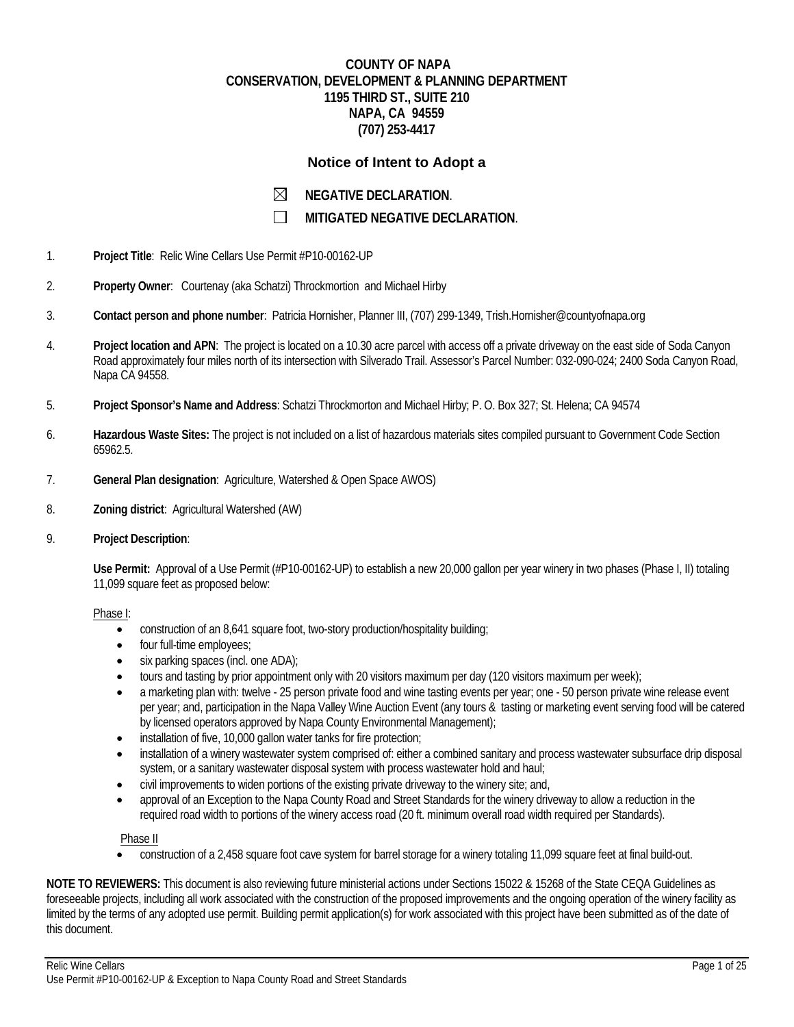# **COUNTY OF NAPA CONSERVATION, DEVELOPMENT & PLANNING DEPARTMENT 1195 THIRD ST., SUITE 210 NAPA, CA 94559 (707) 253-4417**

## **Notice of Intent to Adopt a**

| $\boxtimes$ | <b>NEGATIVE DECLARATION.</b> |
|-------------|------------------------------|
|-------------|------------------------------|

 $\Box$ **MITIGATED NEGATIVE DECLARATION**.

- 1. **Project Title**: Relic Wine Cellars Use Permit #P10-00162-UP
- 2. **Property Owner**: Courtenay (aka Schatzi) Throckmortion and Michael Hirby
- 3. **Contact person and phone number**: Patricia Hornisher, Planner III, (707) 299-1349, Trish.Hornisher@countyofnapa.org
- 4. **Project location and APN**: The project is located on a 10.30 acre parcel with access off a private driveway on the east side of Soda Canyon Road approximately four miles north of its intersection with Silverado Trail. Assessor's Parcel Number: 032-090-024; 2400 Soda Canyon Road, Napa CA 94558.
- 5. **Project Sponsor's Name and Address**: Schatzi Throckmorton and Michael Hirby; P. O. Box 327; St. Helena; CA 94574
- 6. **Hazardous Waste Sites:** The project is not included on a list of hazardous materials sites compiled pursuant to Government Code Section 65962.5.
- 7. **General Plan designation**: Agriculture, Watershed & Open Space AWOS)
- 8. **Zoning district**: Agricultural Watershed (AW)
- 9. **Project Description**:

**Use Permit:** Approval of a Use Permit (#P10-00162-UP) to establish a new 20,000 gallon per year winery in two phases (Phase I, II) totaling 11,099 square feet as proposed below:

#### Phase I:

- construction of an 8,641 square foot, two-story production/hospitality building;
- four full-time employees;
- six parking spaces (incl. one ADA);
- tours and tasting by prior appointment only with 20 visitors maximum per day (120 visitors maximum per week);
- a marketing plan with: twelve 25 person private food and wine tasting events per year; one 50 person private wine release event per year; and, participation in the Napa Valley Wine Auction Event (any tours & tasting or marketing event serving food will be catered by licensed operators approved by Napa County Environmental Management);
- installation of five, 10,000 gallon water tanks for fire protection;
- installation of a winery wastewater system comprised of: either a combined sanitary and process wastewater subsurface drip disposal system, or a sanitary wastewater disposal system with process wastewater hold and haul;
- civil improvements to widen portions of the existing private driveway to the winery site; and,
- approval of an Exception to the Napa County Road and Street Standards for the winery driveway to allow a reduction in the required road width to portions of the winery access road (20 ft. minimum overall road width required per Standards).

Phase II

construction of a 2,458 square foot cave system for barrel storage for a winery totaling 11,099 square feet at final build-out.

**NOTE TO REVIEWERS:** This document is also reviewing future ministerial actions under Sections 15022 & 15268 of the State CEQA Guidelines as foreseeable projects, including all work associated with the construction of the proposed improvements and the ongoing operation of the winery facility as limited by the terms of any adopted use permit. Building permit application(s) for work associated with this project have been submitted as of the date of this document.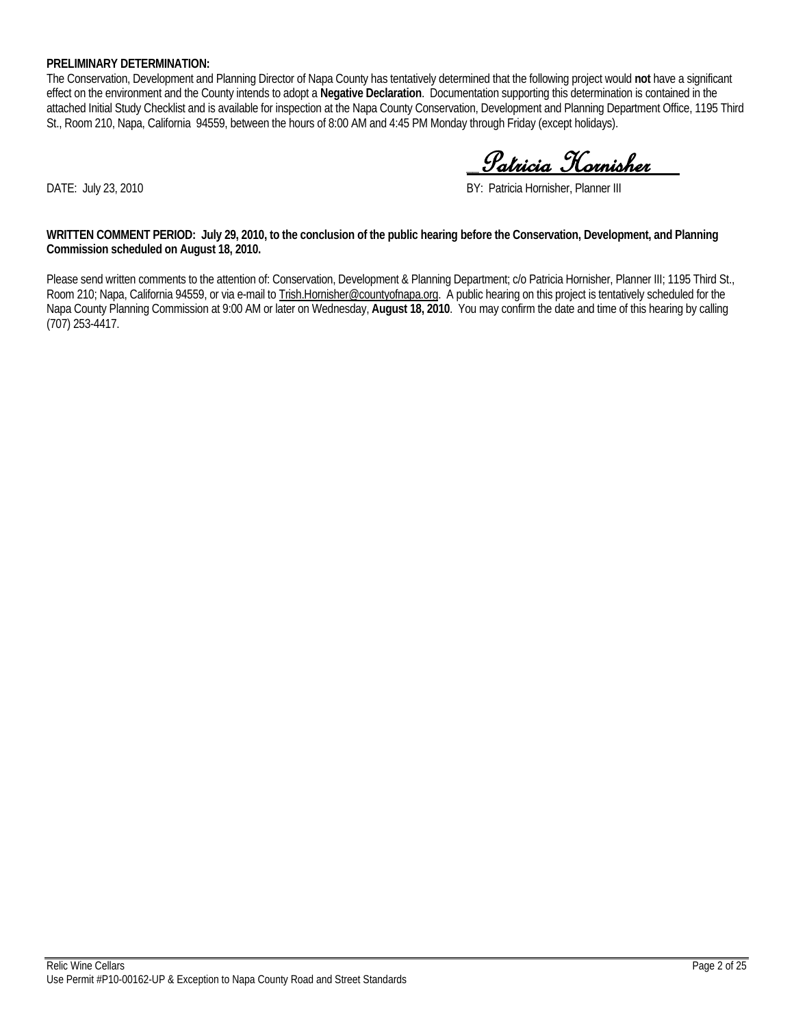### **PRELIMINARY DETERMINATION:**

The Conservation, Development and Planning Director of Napa County has tentatively determined that the following project would **not** have a significant effect on the environment and the County intends to adopt a **Negative Declaration**. Documentation supporting this determination is contained in the attached Initial Study Checklist and is available for inspection at the Napa County Conservation, Development and Planning Department Office, 1195 Third St., Room 210, Napa, California 94559, between the hours of 8:00 AM and 4:45 PM Monday through Friday (except holidays).

\_\_Patricia Hornisher\_\_

DATE: July 23, 2010 **BY: Patricia Hornisher, Planner III** 

**WRITTEN COMMENT PERIOD: July 29, 2010, to the conclusion of the public hearing before the Conservation, Development, and Planning Commission scheduled on August 18, 2010.**

Please send written comments to the attention of: Conservation, Development & Planning Department; c/o Patricia Hornisher, Planner III; 1195 Third St., Room 210; Napa, California 94559, or via e-mail to Trish.Hornisher@countyofnapa.org. A public hearing on this project is tentatively scheduled for the Napa County Planning Commission at 9:00 AM or later on Wednesday, **August 18, 2010**. You may confirm the date and time of this hearing by calling (707) 253-4417.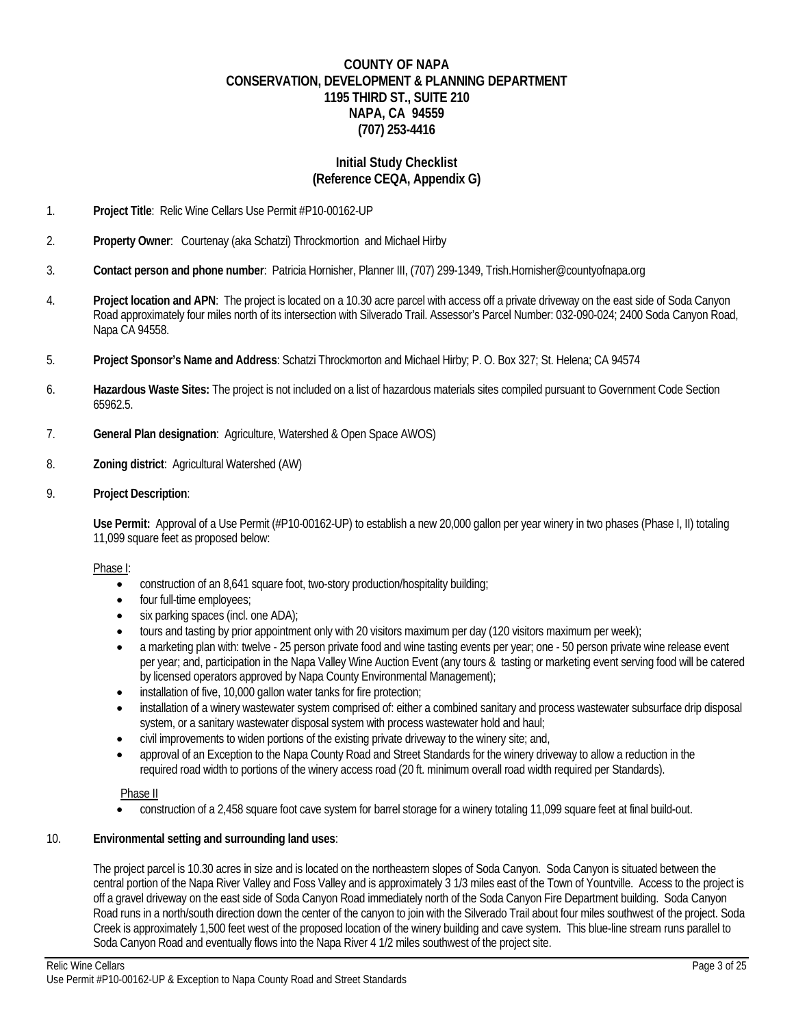# **COUNTY OF NAPA CONSERVATION, DEVELOPMENT & PLANNING DEPARTMENT 1195 THIRD ST., SUITE 210 NAPA, CA 94559 (707) 253-4416**

# **Initial Study Checklist (Reference CEQA, Appendix G)**

- 1. **Project Title**: Relic Wine Cellars Use Permit #P10-00162-UP
- 2. **Property Owner**: Courtenay (aka Schatzi) Throckmortion and Michael Hirby
- 3. **Contact person and phone number**: Patricia Hornisher, Planner III, (707) 299-1349, Trish.Hornisher@countyofnapa.org
- 4. **Project location and APN**: The project is located on a 10.30 acre parcel with access off a private driveway on the east side of Soda Canyon Road approximately four miles north of its intersection with Silverado Trail. Assessor's Parcel Number: 032-090-024; 2400 Soda Canyon Road, Napa CA 94558.
- 5. **Project Sponsor's Name and Address**: Schatzi Throckmorton and Michael Hirby; P. O. Box 327; St. Helena; CA 94574
- 6. **Hazardous Waste Sites:** The project is not included on a list of hazardous materials sites compiled pursuant to Government Code Section 65962.5.
- 7. **General Plan designation**: Agriculture, Watershed & Open Space AWOS)
- 8. **Zoning district**: Agricultural Watershed (AW)
- 9. **Project Description**:

**Use Permit:** Approval of a Use Permit (#P10-00162-UP) to establish a new 20,000 gallon per year winery in two phases (Phase I, II) totaling 11,099 square feet as proposed below:

### Phase I:

- construction of an 8,641 square foot, two-story production/hospitality building;
- four full-time employees;
- six parking spaces (incl. one ADA);
- tours and tasting by prior appointment only with 20 visitors maximum per day (120 visitors maximum per week);
- a marketing plan with: twelve 25 person private food and wine tasting events per year; one 50 person private wine release event per year; and, participation in the Napa Valley Wine Auction Event (any tours & tasting or marketing event serving food will be catered by licensed operators approved by Napa County Environmental Management);
- installation of five, 10,000 gallon water tanks for fire protection;
- installation of a winery wastewater system comprised of: either a combined sanitary and process wastewater subsurface drip disposal system, or a sanitary wastewater disposal system with process wastewater hold and haul;
- civil improvements to widen portions of the existing private driveway to the winery site; and,
- approval of an Exception to the Napa County Road and Street Standards for the winery driveway to allow a reduction in the required road width to portions of the winery access road (20 ft. minimum overall road width required per Standards).

### Phase II

construction of a 2,458 square foot cave system for barrel storage for a winery totaling 11,099 square feet at final build-out.

### 10. **Environmental setting and surrounding land uses**:

The project parcel is 10.30 acres in size and is located on the northeastern slopes of Soda Canyon. Soda Canyon is situated between the central portion of the Napa River Valley and Foss Valley and is approximately 3 1/3 miles east of the Town of Yountville. Access to the project is off a gravel driveway on the east side of Soda Canyon Road immediately north of the Soda Canyon Fire Department building. Soda Canyon Road runs in a north/south direction down the center of the canyon to join with the Silverado Trail about four miles southwest of the project. Soda Creek is approximately 1,500 feet west of the proposed location of the winery building and cave system. This blue-line stream runs parallel to Soda Canyon Road and eventually flows into the Napa River 4 1/2 miles southwest of the project site.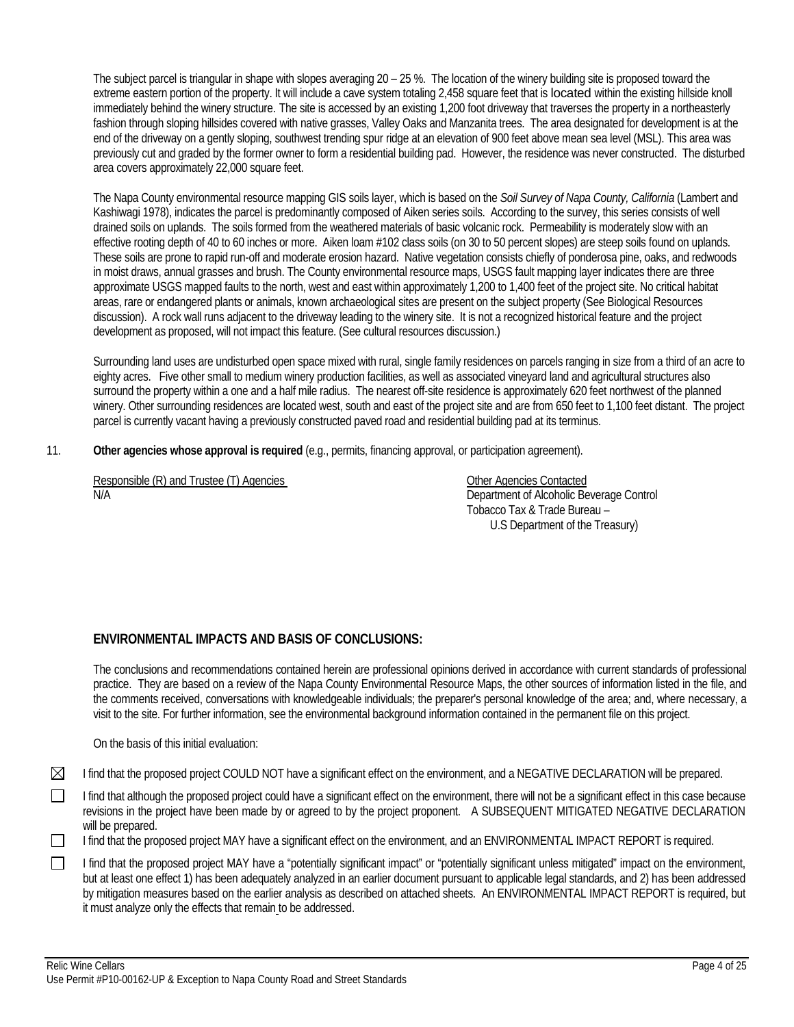The subject parcel is triangular in shape with slopes averaging  $20 - 25$ %. The location of the winery building site is proposed toward the extreme eastern portion of the property. It will include a cave system totaling 2,458 square feet that is located within the existing hillside knoll immediately behind the winery structure. The site is accessed by an existing 1,200 foot driveway that traverses the property in a northeasterly fashion through sloping hillsides covered with native grasses, Valley Oaks and Manzanita trees. The area designated for development is at the end of the driveway on a gently sloping, southwest trending spur ridge at an elevation of 900 feet above mean sea level (MSL). This area was previously cut and graded by the former owner to form a residential building pad. However, the residence was never constructed. The disturbed area covers approximately 22,000 square feet.

The Napa County environmental resource mapping GIS soils layer, which is based on the *Soil Survey of Napa County, California* (Lambert and Kashiwagi 1978), indicates the parcel is predominantly composed of Aiken series soils. According to the survey, this series consists of well drained soils on uplands. The soils formed from the weathered materials of basic volcanic rock. Permeability is moderately slow with an effective rooting depth of 40 to 60 inches or more. Aiken loam #102 class soils (on 30 to 50 percent slopes) are steep soils found on uplands. These soils are prone to rapid run-off and moderate erosion hazard. Native vegetation consists chiefly of ponderosa pine, oaks, and redwoods in moist draws, annual grasses and brush. The County environmental resource maps, USGS fault mapping layer indicates there are three approximate USGS mapped faults to the north, west and east within approximately 1,200 to 1,400 feet of the project site. No critical habitat areas, rare or endangered plants or animals, known archaeological sites are present on the subject property (See Biological Resources discussion). A rock wall runs adjacent to the driveway leading to the winery site. It is not a recognized historical feature and the project development as proposed, will not impact this feature. (See cultural resources discussion.)

Surrounding land uses are undisturbed open space mixed with rural, single family residences on parcels ranging in size from a third of an acre to eighty acres. Five other small to medium winery production facilities, as well as associated vineyard land and agricultural structures also surround the property within a one and a half mile radius. The nearest off-site residence is approximately 620 feet northwest of the planned winery. Other surrounding residences are located west, south and east of the project site and are from 650 feet to 1,100 feet distant. The project parcel is currently vacant having a previously constructed paved road and residential building pad at its terminus.

11. **Other agencies whose approval is required** (e.g., permits, financing approval, or participation agreement).

Responsible (R) and Trustee (T) Agencies **Contacted Contacted** Other Agencies Contacted N/A Department of Alcoholic Beverage Control

 Tobacco Tax & Trade Bureau – U.S Department of the Treasury)

# **ENVIRONMENTAL IMPACTS AND BASIS OF CONCLUSIONS:**

The conclusions and recommendations contained herein are professional opinions derived in accordance with current standards of professional practice. They are based on a review of the Napa County Environmental Resource Maps, the other sources of information listed in the file, and the comments received, conversations with knowledgeable individuals; the preparer's personal knowledge of the area; and, where necessary, a visit to the site. For further information, see the environmental background information contained in the permanent file on this project.

On the basis of this initial evaluation:

⊠ I find that the proposed project COULD NOT have a significant effect on the environment, and a NEGATIVE DECLARATION will be prepared.

 $\Box$ I find that although the proposed project could have a significant effect on the environment, there will not be a significant effect in this case because revisions in the project have been made by or agreed to by the project proponent. A SUBSEQUENT MITIGATED NEGATIVE DECLARATION will be prepared.

 $\Box$ I find that the proposed project MAY have a significant effect on the environment, and an ENVIRONMENTAL IMPACT REPORT is required.

 $\Box$ I find that the proposed project MAY have a "potentially significant impact" or "potentially significant unless mitigated" impact on the environment, but at least one effect 1) has been adequately analyzed in an earlier document pursuant to applicable legal standards, and 2) has been addressed by mitigation measures based on the earlier analysis as described on attached sheets. An ENVIRONMENTAL IMPACT REPORT is required, but it must analyze only the effects that remain to be addressed.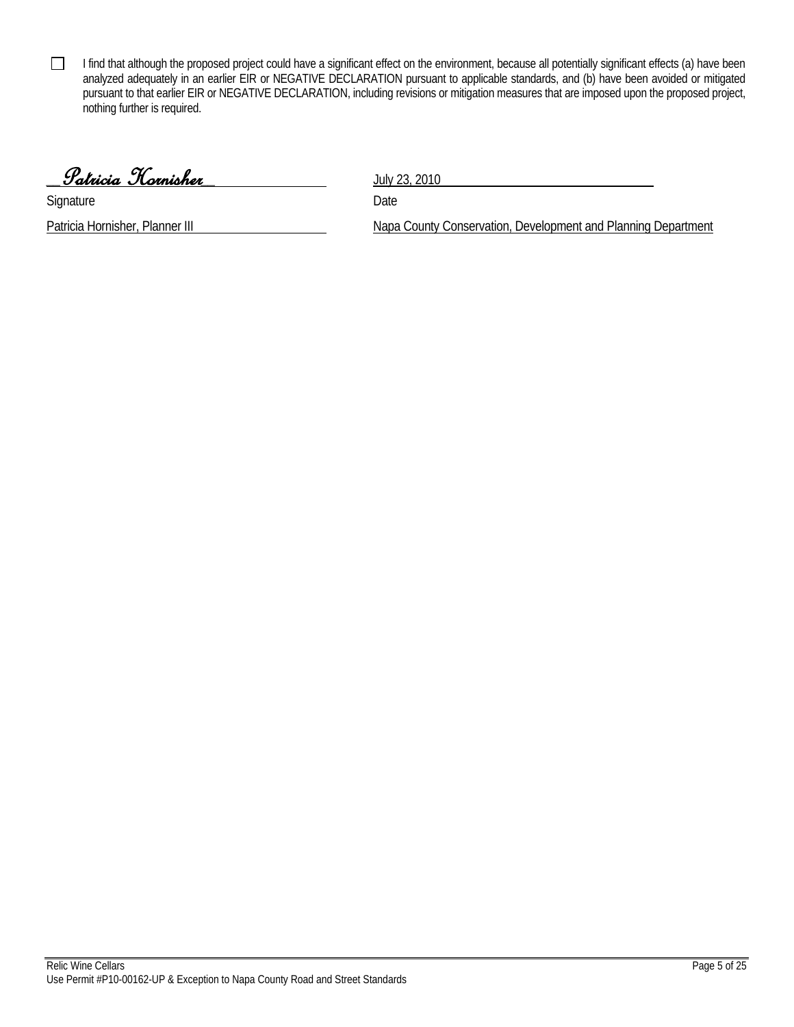I find that although the proposed project could have a significant effect on the environment, because all potentially significant effects (a) have been analyzed adequately in an earlier EIR or NEGATIVE DECLARATION pursuant to applicable standards, and (b) have been avoided or mitigated pursuant to that earlier EIR or NEGATIVE DECLARATION, including revisions or mitigation measures that are imposed upon the proposed project, nothing further is required.

\_\_Patricia Hornisher\_\_ July 23, 2010

Signature Date

 $\Box$ 

Patricia Hornisher, Planner III Napa County Conservation, Development and Planning Department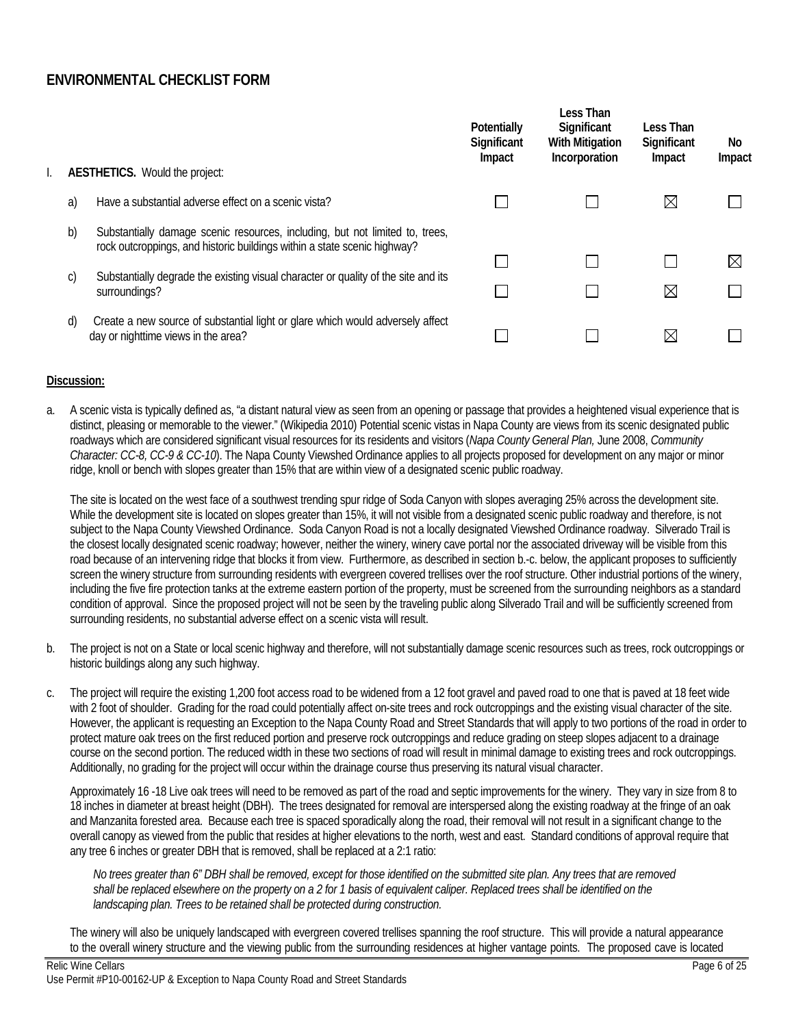# **ENVIRONMENTAL CHECKLIST FORM**

| $\boxtimes$<br>Have a substantial adverse effect on a scenic vista?<br>a)<br>b)<br>Substantially damage scenic resources, including, but not limited to, trees,<br>rock outcroppings, and historic buildings within a state scenic highway?<br>Substantially degrade the existing visual character or quality of the site and its<br>c)<br>$\boxtimes$<br>surroundings?<br>Create a new source of substantial light or glare which would adversely affect<br>d)<br>$\boxtimes$<br>day or nighttime views in the area? |  | <b>AESTHETICS.</b> Would the project: | Potentially<br>Significant<br>Impact | Less Than<br>Significant<br><b>With Mitigation</b><br>Incorporation | Less Than<br>Significant<br>Impact | No<br>Impact |
|-----------------------------------------------------------------------------------------------------------------------------------------------------------------------------------------------------------------------------------------------------------------------------------------------------------------------------------------------------------------------------------------------------------------------------------------------------------------------------------------------------------------------|--|---------------------------------------|--------------------------------------|---------------------------------------------------------------------|------------------------------------|--------------|
|                                                                                                                                                                                                                                                                                                                                                                                                                                                                                                                       |  |                                       |                                      |                                                                     |                                    |              |
|                                                                                                                                                                                                                                                                                                                                                                                                                                                                                                                       |  |                                       |                                      |                                                                     |                                    | $\boxtimes$  |
|                                                                                                                                                                                                                                                                                                                                                                                                                                                                                                                       |  |                                       |                                      |                                                                     |                                    |              |
|                                                                                                                                                                                                                                                                                                                                                                                                                                                                                                                       |  |                                       |                                      |                                                                     |                                    |              |

### **Discussion:**

a. A scenic vista is typically defined as, "a distant natural view as seen from an opening or passage that provides a heightened visual experience that is distinct, pleasing or memorable to the viewer." (Wikipedia 2010) Potential scenic vistas in Napa County are views from its scenic designated public roadways which are considered significant visual resources for its residents and visitors (*Napa County General Plan,* June 2008, *Community Character: CC-8, CC-9 & CC-10*). The Napa County Viewshed Ordinance applies to all projects proposed for development on any major or minor ridge, knoll or bench with slopes greater than 15% that are within view of a designated scenic public roadway.

The site is located on the west face of a southwest trending spur ridge of Soda Canyon with slopes averaging 25% across the development site. While the development site is located on slopes greater than 15%, it will not visible from a designated scenic public roadway and therefore, is not subject to the Napa County Viewshed Ordinance. Soda Canyon Road is not a locally designated Viewshed Ordinance roadway. Silverado Trail is the closest locally designated scenic roadway; however, neither the winery, winery cave portal nor the associated driveway will be visible from this road because of an intervening ridge that blocks it from view. Furthermore, as described in section b.-c. below, the applicant proposes to sufficiently screen the winery structure from surrounding residents with evergreen covered trellises over the roof structure. Other industrial portions of the winery, including the five fire protection tanks at the extreme eastern portion of the property, must be screened from the surrounding neighbors as a standard condition of approval. Since the proposed project will not be seen by the traveling public along Silverado Trail and will be sufficiently screened from surrounding residents, no substantial adverse effect on a scenic vista will result.

- b. The project is not on a State or local scenic highway and therefore, will not substantially damage scenic resources such as trees, rock outcroppings or historic buildings along any such highway.
- c. The project will require the existing 1,200 foot access road to be widened from a 12 foot gravel and paved road to one that is paved at 18 feet wide with 2 foot of shoulder. Grading for the road could potentially affect on-site trees and rock outcroppings and the existing visual character of the site. However, the applicant is requesting an Exception to the Napa County Road and Street Standards that will apply to two portions of the road in order to protect mature oak trees on the first reduced portion and preserve rock outcroppings and reduce grading on steep slopes adjacent to a drainage course on the second portion. The reduced width in these two sections of road will result in minimal damage to existing trees and rock outcroppings. Additionally, no grading for the project will occur within the drainage course thus preserving its natural visual character.

Approximately 16 -18 Live oak trees will need to be removed as part of the road and septic improvements for the winery. They vary in size from 8 to 18 inches in diameter at breast height (DBH). The trees designated for removal are interspersed along the existing roadway at the fringe of an oak and Manzanita forested area. Because each tree is spaced sporadically along the road, their removal will not result in a significant change to the overall canopy as viewed from the public that resides at higher elevations to the north, west and east. Standard conditions of approval require that any tree 6 inches or greater DBH that is removed, shall be replaced at a 2:1 ratio:

*No trees greater than 6" DBH shall be removed, except for those identified on the submitted site plan. Any trees that are removed shall be replaced elsewhere on the property on a 2 for 1 basis of equivalent caliper. Replaced trees shall be identified on the landscaping plan. Trees to be retained shall be protected during construction.* 

The winery will also be uniquely landscaped with evergreen covered trellises spanning the roof structure. This will provide a natural appearance to the overall winery structure and the viewing public from the surrounding residences at higher vantage points. The proposed cave is located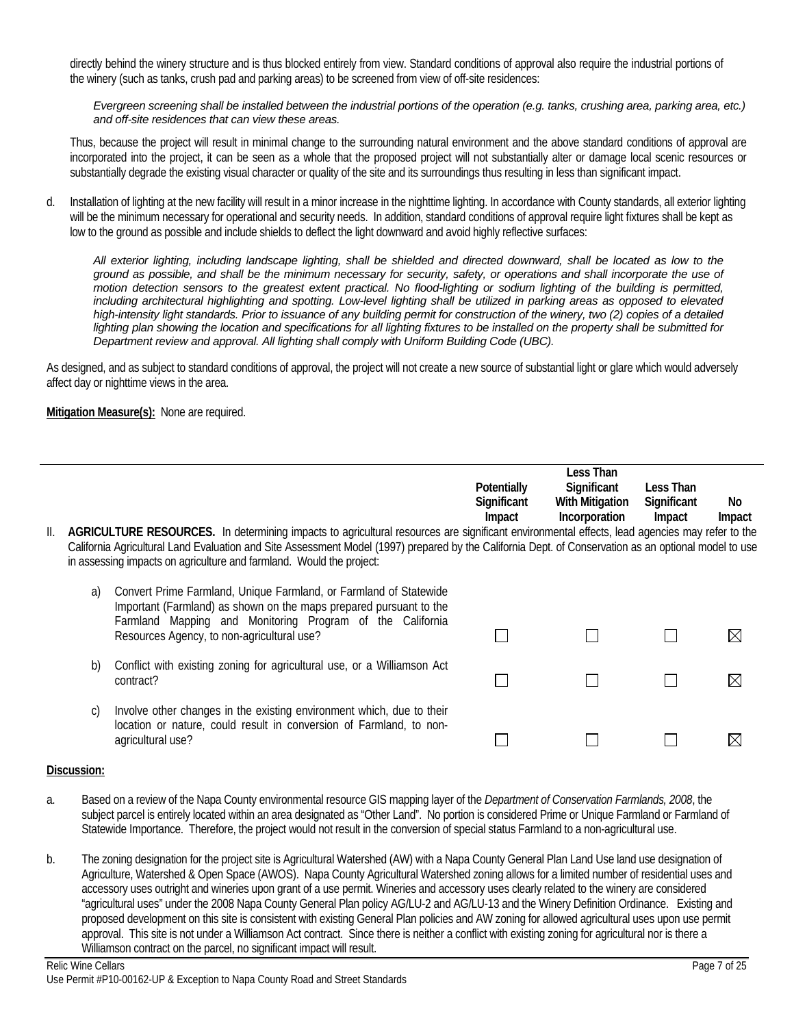directly behind the winery structure and is thus blocked entirely from view. Standard conditions of approval also require the industrial portions of the winery (such as tanks, crush pad and parking areas) to be screened from view of off-site residences:

*Evergreen screening shall be installed between the industrial portions of the operation (e.g. tanks, crushing area, parking area, etc.) and off-site residences that can view these areas.*

Thus, because the project will result in minimal change to the surrounding natural environment and the above standard conditions of approval are incorporated into the project, it can be seen as a whole that the proposed project will not substantially alter or damage local scenic resources or substantially degrade the existing visual character or quality of the site and its surroundings thus resulting in less than significant impact.

d. Installation of lighting at the new facility will result in a minor increase in the nighttime lighting. In accordance with County standards, all exterior lighting will be the minimum necessary for operational and security needs. In addition, standard conditions of approval require light fixtures shall be kept as low to the ground as possible and include shields to deflect the light downward and avoid highly reflective surfaces:

*All exterior lighting, including landscape lighting, shall be shielded and directed downward, shall be located as low to the ground as possible, and shall be the minimum necessary for security, safety, or operations and shall incorporate the use of motion detection sensors to the greatest extent practical. No flood-lighting or sodium lighting of the building is permitted, including architectural highlighting and spotting. Low-level lighting shall be utilized in parking areas as opposed to elevated high-intensity light standards. Prior to issuance of any building permit for construction of the winery, two (2) copies of a detailed*  lighting plan showing the location and specifications for all lighting fixtures to be installed on the property shall be submitted for *Department review and approval. All lighting shall comply with Uniform Building Code (UBC).* 

As designed, and as subject to standard conditions of approval, the project will not create a new source of substantial light or glare which would adversely affect day or nighttime views in the area.

### **Mitigation Measure(s):** None are required.

|     |    |                                                                                                                                                                                                                               |             | Less Than              |             |        |
|-----|----|-------------------------------------------------------------------------------------------------------------------------------------------------------------------------------------------------------------------------------|-------------|------------------------|-------------|--------|
|     |    |                                                                                                                                                                                                                               | Potentially | Significant            | Less Than   |        |
|     |    |                                                                                                                                                                                                                               | Significant | <b>With Mitigation</b> | Significant | No.    |
|     |    |                                                                                                                                                                                                                               | Impact      | Incorporation          | Impact      | Impact |
| II. |    | AGRICULTURE RESOURCES. In determining impacts to agricultural resources are significant environmental effects, lead agencies may refer to the                                                                                 |             |                        |             |        |
|     |    | California Agricultural Land Evaluation and Site Assessment Model (1997) prepared by the California Dept. of Conservation as an optional model to use<br>in assessing impacts on agriculture and farmland. Would the project: |             |                        |             |        |
|     | a) | Convert Prime Farmland, Unique Farmland, or Farmland of Statewide<br>Important (Farmland) as shown on the maps prepared pursuant to the<br>Farmland Mapping and Monitoring Program of the California                          |             |                        |             |        |
|     |    | Resources Agency, to non-agricultural use?                                                                                                                                                                                    |             |                        |             |        |
|     | b) | Conflict with existing zoning for agricultural use, or a Williamson Act<br>contract?                                                                                                                                          |             |                        |             |        |
|     | C) | Involve other changes in the existing environment which, due to their<br>location or nature, could result in conversion of Farmland, to non-<br>agricultural use?                                                             |             |                        |             |        |
|     |    |                                                                                                                                                                                                                               |             |                        |             |        |

- a. Based on a review of the Napa County environmental resource GIS mapping layer of the *Department of Conservation Farmlands, 2008*, the subject parcel is entirely located within an area designated as "Other Land". No portion is considered Prime or Unique Farmland or Farmland of Statewide Importance. Therefore, the project would not result in the conversion of special status Farmland to a non-agricultural use.
- b. The zoning designation for the project site is Agricultural Watershed (AW) with a Napa County General Plan Land Use land use designation of Agriculture, Watershed & Open Space (AWOS). Napa County Agricultural Watershed zoning allows for a limited number of residential uses and accessory uses outright and wineries upon grant of a use permit. Wineries and accessory uses clearly related to the winery are considered "agricultural uses" under the 2008 Napa County General Plan policy AG/LU-2 and AG/LU-13 and the Winery Definition Ordinance. Existing and proposed development on this site is consistent with existing General Plan policies and AW zoning for allowed agricultural uses upon use permit approval. This site is not under a Williamson Act contract. Since there is neither a conflict with existing zoning for agricultural nor is there a Williamson contract on the parcel, no significant impact will result.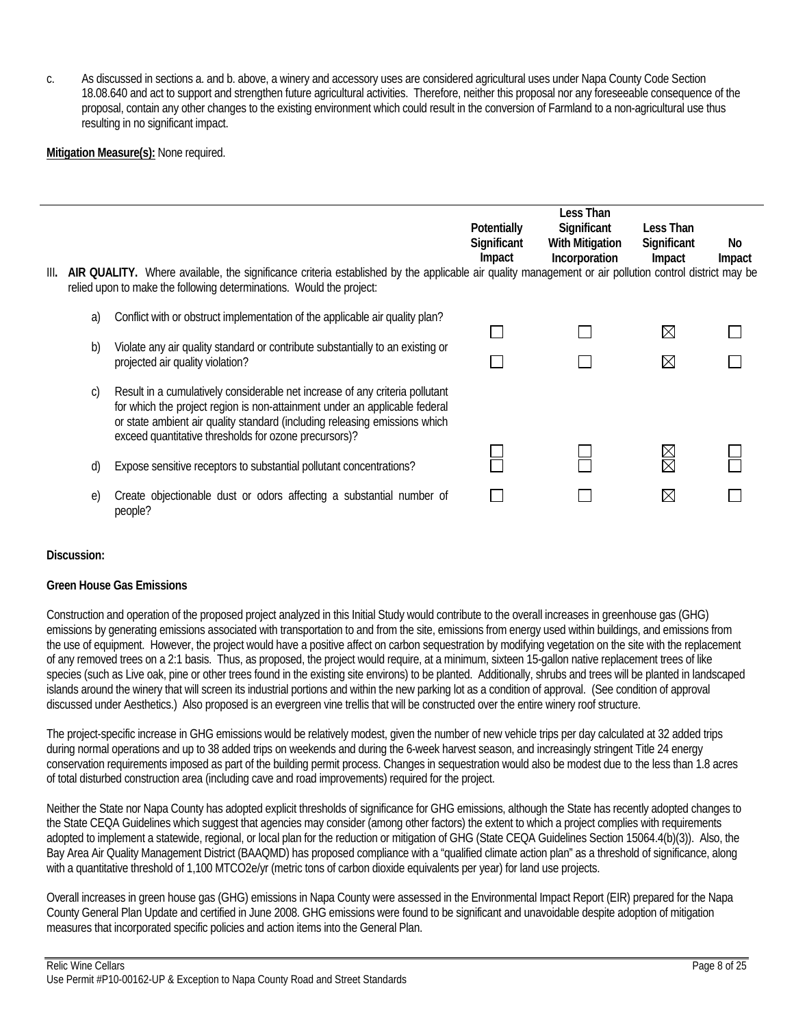c. As discussed in sections a. and b. above, a winery and accessory uses are considered agricultural uses under Napa County Code Section 18.08.640 and act to support and strengthen future agricultural activities. Therefore, neither this proposal nor any foreseeable consequence of the proposal, contain any other changes to the existing environment which could result in the conversion of Farmland to a non-agricultural use thus resulting in no significant impact.

**Mitigation Measure(s):** None required.

|      |    |                                                                                                                                                                                                                                                                                                   | Potentially<br>Significant<br>Impact | Less Than<br>Significant<br><b>With Mitigation</b><br>Incorporation | Less Than<br>Significant<br>Impact | No<br>Impact |
|------|----|---------------------------------------------------------------------------------------------------------------------------------------------------------------------------------------------------------------------------------------------------------------------------------------------------|--------------------------------------|---------------------------------------------------------------------|------------------------------------|--------------|
| III. |    | AIR QUALITY. Where available, the significance criteria established by the applicable air quality management or air pollution control district may be<br>relied upon to make the following determinations. Would the project:                                                                     |                                      |                                                                     |                                    |              |
|      | a) | Conflict with or obstruct implementation of the applicable air quality plan?                                                                                                                                                                                                                      |                                      |                                                                     | $\boxtimes$                        |              |
|      | b) | Violate any air quality standard or contribute substantially to an existing or<br>projected air quality violation?                                                                                                                                                                                |                                      |                                                                     | $\boxtimes$                        |              |
|      | C) | Result in a cumulatively considerable net increase of any criteria pollutant<br>for which the project region is non-attainment under an applicable federal<br>or state ambient air quality standard (including releasing emissions which<br>exceed quantitative thresholds for ozone precursors)? |                                      |                                                                     |                                    |              |
|      | d) | Expose sensitive receptors to substantial pollutant concentrations?                                                                                                                                                                                                                               |                                      |                                                                     | N<br>R                             |              |
|      | e) | Create objectionable dust or odors affecting a substantial number of<br>people?                                                                                                                                                                                                                   |                                      |                                                                     | ⊠                                  |              |

### **Discussion:**

### **Green House Gas Emissions**

Construction and operation of the proposed project analyzed in this Initial Study would contribute to the overall increases in greenhouse gas (GHG) emissions by generating emissions associated with transportation to and from the site, emissions from energy used within buildings, and emissions from the use of equipment. However, the project would have a positive affect on carbon sequestration by modifying vegetation on the site with the replacement of any removed trees on a 2:1 basis. Thus, as proposed, the project would require, at a minimum, sixteen 15-gallon native replacement trees of like species (such as Live oak, pine or other trees found in the existing site environs) to be planted. Additionally, shrubs and trees will be planted in landscaped islands around the winery that will screen its industrial portions and within the new parking lot as a condition of approval. (See condition of approval discussed under Aesthetics.) Also proposed is an evergreen vine trellis that will be constructed over the entire winery roof structure.

The project-specific increase in GHG emissions would be relatively modest, given the number of new vehicle trips per day calculated at 32 added trips during normal operations and up to 38 added trips on weekends and during the 6-week harvest season, and increasingly stringent Title 24 energy conservation requirements imposed as part of the building permit process. Changes in sequestration would also be modest due to the less than 1.8 acres of total disturbed construction area (including cave and road improvements) required for the project.

Neither the State nor Napa County has adopted explicit thresholds of significance for GHG emissions, although the State has recently adopted changes to the State CEQA Guidelines which suggest that agencies may consider (among other factors) the extent to which a project complies with requirements adopted to implement a statewide, regional, or local plan for the reduction or mitigation of GHG (State CEQA Guidelines Section 15064.4(b)(3)). Also, the Bay Area Air Quality Management District (BAAQMD) has proposed compliance with a "qualified climate action plan" as a threshold of significance, along with a quantitative threshold of 1,100 MTCO2e/yr (metric tons of carbon dioxide equivalents per year) for land use projects.

Overall increases in green house gas (GHG) emissions in Napa County were assessed in the Environmental Impact Report (EIR) prepared for the Napa County General Plan Update and certified in June 2008. GHG emissions were found to be significant and unavoidable despite adoption of mitigation measures that incorporated specific policies and action items into the General Plan.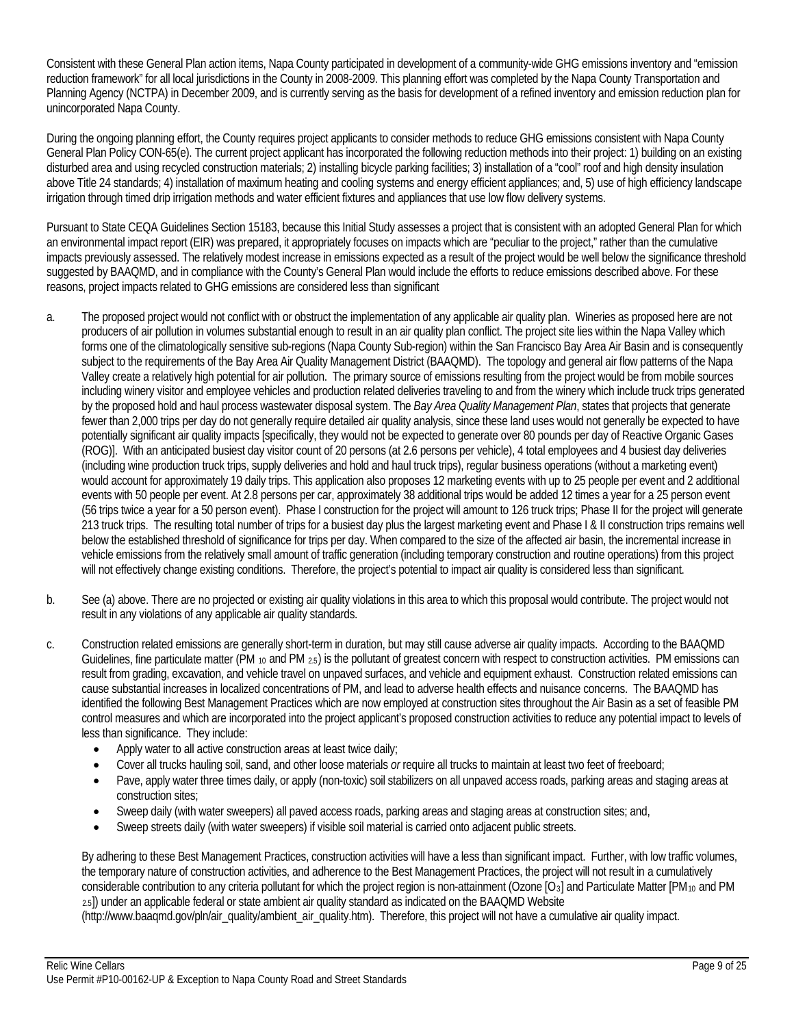Consistent with these General Plan action items, Napa County participated in development of a community-wide GHG emissions inventory and "emission reduction framework" for all local jurisdictions in the County in 2008-2009. This planning effort was completed by the Napa County Transportation and Planning Agency (NCTPA) in December 2009, and is currently serving as the basis for development of a refined inventory and emission reduction plan for unincorporated Napa County.

During the ongoing planning effort, the County requires project applicants to consider methods to reduce GHG emissions consistent with Napa County General Plan Policy CON-65(e). The current project applicant has incorporated the following reduction methods into their project: 1) building on an existing disturbed area and using recycled construction materials; 2) installing bicycle parking facilities; 3) installation of a "cool" roof and high density insulation above Title 24 standards; 4) installation of maximum heating and cooling systems and energy efficient appliances; and, 5) use of high efficiency landscape irrigation through timed drip irrigation methods and water efficient fixtures and appliances that use low flow delivery systems.

Pursuant to State CEQA Guidelines Section 15183, because this Initial Study assesses a project that is consistent with an adopted General Plan for which an environmental impact report (EIR) was prepared, it appropriately focuses on impacts which are "peculiar to the project," rather than the cumulative impacts previously assessed. The relatively modest increase in emissions expected as a result of the project would be well below the significance threshold suggested by BAAQMD, and in compliance with the County's General Plan would include the efforts to reduce emissions described above. For these reasons, project impacts related to GHG emissions are considered less than significant

- a. The proposed project would not conflict with or obstruct the implementation of any applicable air quality plan. Wineries as proposed here are not producers of air pollution in volumes substantial enough to result in an air quality plan conflict. The project site lies within the Napa Valley which forms one of the climatologically sensitive sub-regions (Napa County Sub-region) within the San Francisco Bay Area Air Basin and is consequently subject to the requirements of the Bay Area Air Quality Management District (BAAQMD). The topology and general air flow patterns of the Napa Valley create a relatively high potential for air pollution. The primary source of emissions resulting from the project would be from mobile sources including winery visitor and employee vehicles and production related deliveries traveling to and from the winery which include truck trips generated by the proposed hold and haul process wastewater disposal system. The *Bay Area Quality Management Plan*, states that projects that generate fewer than 2,000 trips per day do not generally require detailed air quality analysis, since these land uses would not generally be expected to have potentially significant air quality impacts [specifically, they would not be expected to generate over 80 pounds per day of Reactive Organic Gases (ROG)]. With an anticipated busiest day visitor count of 20 persons (at 2.6 persons per vehicle), 4 total employees and 4 busiest day deliveries (including wine production truck trips, supply deliveries and hold and haul truck trips), regular business operations (without a marketing event) would account for approximately 19 daily trips. This application also proposes 12 marketing events with up to 25 people per event and 2 additional events with 50 people per event. At 2.8 persons per car, approximately 38 additional trips would be added 12 times a year for a 25 person event (56 trips twice a year for a 50 person event). Phase I construction for the project will amount to 126 truck trips; Phase II for the project will generate 213 truck trips. The resulting total number of trips for a busiest day plus the largest marketing event and Phase I & II construction trips remains well below the established threshold of significance for trips per day. When compared to the size of the affected air basin, the incremental increase in vehicle emissions from the relatively small amount of traffic generation (including temporary construction and routine operations) from this project will not effectively change existing conditions. Therefore, the project's potential to impact air quality is considered less than significant.
- b. See (a) above. There are no projected or existing air quality violations in this area to which this proposal would contribute. The project would not result in any violations of any applicable air quality standards.
- c. Construction related emissions are generally short-term in duration, but may still cause adverse air quality impacts. According to the BAAQMD Guidelines, fine particulate matter (PM <sub>10</sub> and PM <sub>2.5</sub>) is the pollutant of greatest concern with respect to construction activities. PM emissions can result from grading, excavation, and vehicle travel on unpaved surfaces, and vehicle and equipment exhaust. Construction related emissions can cause substantial increases in localized concentrations of PM, and lead to adverse health effects and nuisance concerns. The BAAQMD has identified the following Best Management Practices which are now employed at construction sites throughout the Air Basin as a set of feasible PM control measures and which are incorporated into the project applicant's proposed construction activities to reduce any potential impact to levels of less than significance. They include:
	- Apply water to all active construction areas at least twice daily;
	- Cover all trucks hauling soil, sand, and other loose materials *or* require all trucks to maintain at least two feet of freeboard;
	- Pave, apply water three times daily, or apply (non-toxic) soil stabilizers on all unpaved access roads, parking areas and staging areas at construction sites;
	- Sweep daily (with water sweepers) all paved access roads, parking areas and staging areas at construction sites; and,
	- Sweep streets daily (with water sweepers) if visible soil material is carried onto adjacent public streets.

By adhering to these Best Management Practices, construction activities will have a less than significant impact. Further, with low traffic volumes, the temporary nature of construction activities, and adherence to the Best Management Practices, the project will not result in a cumulatively considerable contribution to any criteria pollutant for which the project region is non-attainment (Ozone  $[O_3]$  and Particulate Matter  $[PM_{10}$  and PM 2.5]) under an applicable federal or state ambient air quality standard as indicated on the BAAQMD Website

(http://www.baaqmd.gov/pln/air\_quality/ambient\_air\_quality.htm). Therefore, this project will not have a cumulative air quality impact.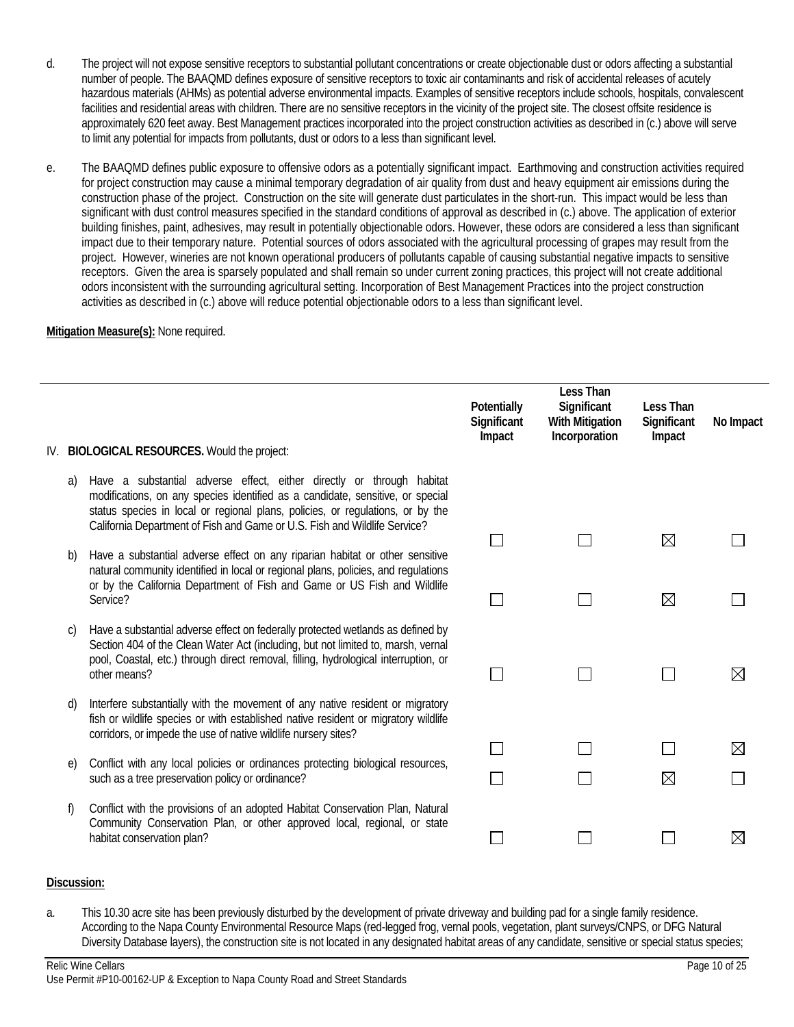- d. The project will not expose sensitive receptors to substantial pollutant concentrations or create objectionable dust or odors affecting a substantial number of people. The BAAQMD defines exposure of sensitive receptors to toxic air contaminants and risk of accidental releases of acutely hazardous materials (AHMs) as potential adverse environmental impacts. Examples of sensitive receptors include schools, hospitals, convalescent facilities and residential areas with children. There are no sensitive receptors in the vicinity of the project site. The closest offsite residence is approximately 620 feet away. Best Management practices incorporated into the project construction activities as described in (c.) above will serve to limit any potential for impacts from pollutants, dust or odors to a less than significant level.
- e. The BAAQMD defines public exposure to offensive odors as a potentially significant impact. Earthmoving and construction activities required for project construction may cause a minimal temporary degradation of air quality from dust and heavy equipment air emissions during the construction phase of the project. Construction on the site will generate dust particulates in the short-run. This impact would be less than significant with dust control measures specified in the standard conditions of approval as described in (c.) above. The application of exterior building finishes, paint, adhesives, may result in potentially objectionable odors. However, these odors are considered a less than significant impact due to their temporary nature. Potential sources of odors associated with the agricultural processing of grapes may result from the project. However, wineries are not known operational producers of pollutants capable of causing substantial negative impacts to sensitive receptors. Given the area is sparsely populated and shall remain so under current zoning practices, this project will not create additional odors inconsistent with the surrounding agricultural setting. Incorporation of Best Management Practices into the project construction activities as described in (c.) above will reduce potential objectionable odors to a less than significant level.

### **Mitigation Measure(s):** None required.

|     |          |                                                                                                                                                                                                                                                                                                                        | Potentially<br>Significant<br>Impact | Less Than<br>Significant<br><b>With Mitigation</b><br>Incorporation | Less Than<br>Significant<br>Impact | No Impact |
|-----|----------|------------------------------------------------------------------------------------------------------------------------------------------------------------------------------------------------------------------------------------------------------------------------------------------------------------------------|--------------------------------------|---------------------------------------------------------------------|------------------------------------|-----------|
| IV. |          | <b>BIOLOGICAL RESOURCES. Would the project:</b>                                                                                                                                                                                                                                                                        |                                      |                                                                     |                                    |           |
|     | a)       | Have a substantial adverse effect, either directly or through habitat<br>modifications, on any species identified as a candidate, sensitive, or special<br>status species in local or regional plans, policies, or regulations, or by the<br>California Department of Fish and Game or U.S. Fish and Wildlife Service? |                                      |                                                                     | $\boxtimes$                        |           |
|     | b)       | Have a substantial adverse effect on any riparian habitat or other sensitive<br>natural community identified in local or regional plans, policies, and regulations<br>or by the California Department of Fish and Game or US Fish and Wildlife                                                                         |                                      |                                                                     |                                    |           |
|     |          | Service?                                                                                                                                                                                                                                                                                                               |                                      |                                                                     | ⊠                                  |           |
|     | C)       | Have a substantial adverse effect on federally protected wetlands as defined by<br>Section 404 of the Clean Water Act (including, but not limited to, marsh, vernal<br>pool, Coastal, etc.) through direct removal, filling, hydrological interruption, or<br>other means?                                             |                                      |                                                                     |                                    | M         |
|     | d)       | Interfere substantially with the movement of any native resident or migratory<br>fish or wildlife species or with established native resident or migratory wildlife<br>corridors, or impede the use of native wildlife nursery sites?                                                                                  |                                      |                                                                     |                                    |           |
|     |          | Conflict with any local policies or ordinances protecting biological resources,                                                                                                                                                                                                                                        |                                      |                                                                     |                                    | M         |
|     | $\Theta$ | such as a tree preservation policy or ordinance?                                                                                                                                                                                                                                                                       |                                      |                                                                     | ⊠                                  |           |
|     | f)       | Conflict with the provisions of an adopted Habitat Conservation Plan, Natural<br>Community Conservation Plan, or other approved local, regional, or state<br>habitat conservation plan?                                                                                                                                |                                      |                                                                     |                                    | M         |

### **Discussion:**

a. This 10.30 acre site has been previously disturbed by the development of private driveway and building pad for a single family residence. According to the Napa County Environmental Resource Maps (red-legged frog, vernal pools, vegetation, plant surveys/CNPS, or DFG Natural Diversity Database layers), the construction site is not located in any designated habitat areas of any candidate, sensitive or special status species;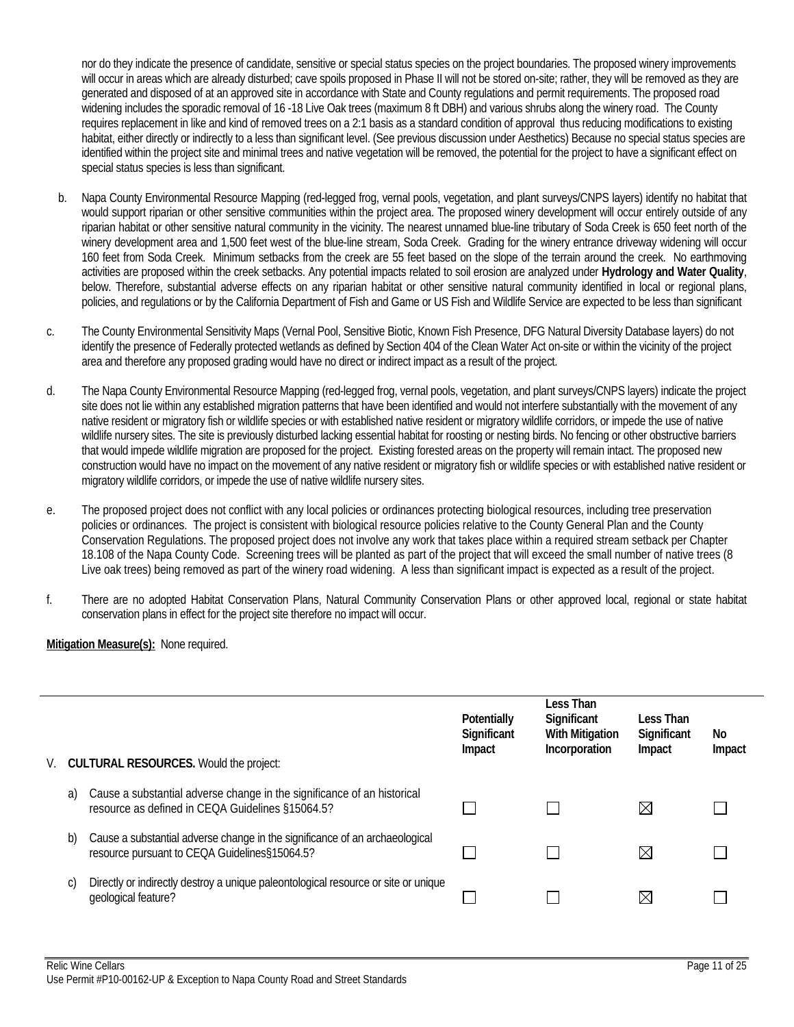nor do they indicate the presence of candidate, sensitive or special status species on the project boundaries. The proposed winery improvements will occur in areas which are already disturbed; cave spoils proposed in Phase II will not be stored on-site; rather, they will be removed as they are generated and disposed of at an approved site in accordance with State and County regulations and permit requirements. The proposed road widening includes the sporadic removal of 16 -18 Live Oak trees (maximum 8 ft DBH) and various shrubs along the winery road. The County requires replacement in like and kind of removed trees on a 2:1 basis as a standard condition of approval thus reducing modifications to existing habitat, either directly or indirectly to a less than significant level. (See previous discussion under Aesthetics) Because no special status species are identified within the project site and minimal trees and native vegetation will be removed, the potential for the project to have a significant effect on special status species is less than significant.

- b. Napa County Environmental Resource Mapping (red-legged frog, vernal pools, vegetation, and plant surveys/CNPS layers) identify no habitat that would support riparian or other sensitive communities within the project area. The proposed winery development will occur entirely outside of any riparian habitat or other sensitive natural community in the vicinity. The nearest unnamed blue-line tributary of Soda Creek is 650 feet north of the winery development area and 1,500 feet west of the blue-line stream, Soda Creek. Grading for the winery entrance driveway widening will occur 160 feet from Soda Creek. Minimum setbacks from the creek are 55 feet based on the slope of the terrain around the creek. No earthmoving activities are proposed within the creek setbacks. Any potential impacts related to soil erosion are analyzed under **Hydrology and Water Quality**, below. Therefore, substantial adverse effects on any riparian habitat or other sensitive natural community identified in local or regional plans, policies, and regulations or by the California Department of Fish and Game or US Fish and Wildlife Service are expected to be less than significant
- c. The County Environmental Sensitivity Maps (Vernal Pool, Sensitive Biotic, Known Fish Presence, DFG Natural Diversity Database layers) do not identify the presence of Federally protected wetlands as defined by Section 404 of the Clean Water Act on-site or within the vicinity of the project area and therefore any proposed grading would have no direct or indirect impact as a result of the project.
- d. The Napa County Environmental Resource Mapping (red-legged frog, vernal pools, vegetation, and plant surveys/CNPS layers) indicate the project site does not lie within any established migration patterns that have been identified and would not interfere substantially with the movement of any native resident or migratory fish or wildlife species or with established native resident or migratory wildlife corridors, or impede the use of native wildlife nursery sites. The site is previously disturbed lacking essential habitat for roosting or nesting birds. No fencing or other obstructive barriers that would impede wildlife migration are proposed for the project. Existing forested areas on the property will remain intact. The proposed new construction would have no impact on the movement of any native resident or migratory fish or wildlife species or with established native resident or migratory wildlife corridors, or impede the use of native wildlife nursery sites.
- e. The proposed project does not conflict with any local policies or ordinances protecting biological resources, including tree preservation policies or ordinances. The project is consistent with biological resource policies relative to the County General Plan and the County Conservation Regulations. The proposed project does not involve any work that takes place within a required stream setback per Chapter 18.108 of the Napa County Code. Screening trees will be planted as part of the project that will exceed the small number of native trees (8 Live oak trees) being removed as part of the winery road widening. A less than significant impact is expected as a result of the project.
- f. There are no adopted Habitat Conservation Plans, Natural Community Conservation Plans or other approved local, regional or state habitat conservation plans in effect for the project site therefore no impact will occur.

| V. |    | <b>CULTURAL RESOURCES.</b> Would the project:                                                                                | Potentially<br>Significant<br>Impact | Less Than<br>Significant<br><b>With Mitigation</b><br>Incorporation | Less Than<br>Significant<br>Impact | No<br>Impact |
|----|----|------------------------------------------------------------------------------------------------------------------------------|--------------------------------------|---------------------------------------------------------------------|------------------------------------|--------------|
|    | a) | Cause a substantial adverse change in the significance of an historical<br>resource as defined in CEQA Guidelines §15064.5?  |                                      |                                                                     | $\boxtimes$                        |              |
|    | b) | Cause a substantial adverse change in the significance of an archaeological<br>resource pursuant to CEQA Guidelines§15064.5? |                                      |                                                                     | $\times$                           |              |
|    |    | Directly or indirectly destroy a unique paleontological resource or site or unique<br>geological feature?                    |                                      |                                                                     | $\boxtimes$                        |              |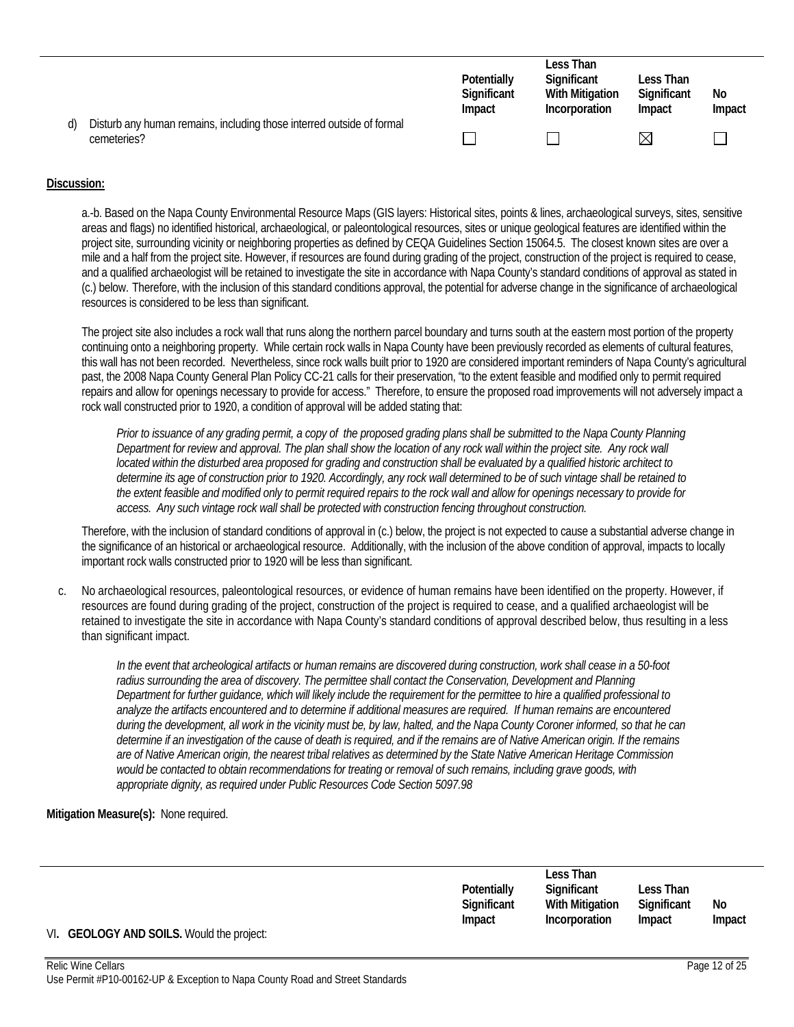|                                                                                      | Potentially<br>Significant<br>Impact | Less Than<br>Significant<br><b>With Mitigation</b><br>Incorporation | Less Than<br>Significant<br>Impact | No<br>Impact |
|--------------------------------------------------------------------------------------|--------------------------------------|---------------------------------------------------------------------|------------------------------------|--------------|
| Disturb any human remains, including those interred outside of formal<br>cemeteries? |                                      |                                                                     | M                                  |              |

a.-b. Based on the Napa County Environmental Resource Maps (GIS layers: Historical sites, points & lines, archaeological surveys, sites, sensitive areas and flags) no identified historical, archaeological, or paleontological resources, sites or unique geological features are identified within the project site, surrounding vicinity or neighboring properties as defined by CEQA Guidelines Section 15064.5. The closest known sites are over a mile and a half from the project site. However, if resources are found during grading of the project, construction of the project is required to cease, and a qualified archaeologist will be retained to investigate the site in accordance with Napa County's standard conditions of approval as stated in (c.) below. Therefore, with the inclusion of this standard conditions approval, the potential for adverse change in the significance of archaeological resources is considered to be less than significant.

The project site also includes a rock wall that runs along the northern parcel boundary and turns south at the eastern most portion of the property continuing onto a neighboring property. While certain rock walls in Napa County have been previously recorded as elements of cultural features, this wall has not been recorded. Nevertheless, since rock walls built prior to 1920 are considered important reminders of Napa County's agricultural past, the 2008 Napa County General Plan Policy CC-21 calls for their preservation, "to the extent feasible and modified only to permit required repairs and allow for openings necessary to provide for access." Therefore, to ensure the proposed road improvements will not adversely impact a rock wall constructed prior to 1920, a condition of approval will be added stating that:

*Prior to issuance of any grading permit, a copy of the proposed grading plans shall be submitted to the Napa County Planning Department for review and approval. The plan shall show the location of any rock wall within the project site. Any rock wall located within the disturbed area proposed for grading and construction shall be evaluated by a qualified historic architect to determine its age of construction prior to 1920. Accordingly, any rock wall determined to be of such vintage shall be retained to the extent feasible and modified only to permit required repairs to the rock wall and allow for openings necessary to provide for access. Any such vintage rock wall shall be protected with construction fencing throughout construction.* 

Therefore, with the inclusion of standard conditions of approval in (c.) below, the project is not expected to cause a substantial adverse change in the significance of an historical or archaeological resource. Additionally, with the inclusion of the above condition of approval, impacts to locally important rock walls constructed prior to 1920 will be less than significant.

c. No archaeological resources, paleontological resources, or evidence of human remains have been identified on the property. However, if resources are found during grading of the project, construction of the project is required to cease, and a qualified archaeologist will be retained to investigate the site in accordance with Napa County's standard conditions of approval described below, thus resulting in a less than significant impact.

*In the event that archeological artifacts or human remains are discovered during construction, work shall cease in a 50-foot*  radius surrounding the area of discovery. The permittee shall contact the Conservation, Development and Planning *Department for further guidance, which will likely include the requirement for the permittee to hire a qualified professional to analyze the artifacts encountered and to determine if additional measures are required. If human remains are encountered during the development, all work in the vicinity must be, by law, halted, and the Napa County Coroner informed, so that he can determine if an investigation of the cause of death is required, and if the remains are of Native American origin. If the remains are of Native American origin, the nearest tribal relatives as determined by the State Native American Heritage Commission would be contacted to obtain recommendations for treating or removal of such remains, including grave goods, with appropriate dignity, as required under Public Resources Code Section 5097.98* 

|                                           |             | Less Than       |             |        |
|-------------------------------------------|-------------|-----------------|-------------|--------|
|                                           | Potentially | Significant     | Less Than   |        |
|                                           | Significant | With Mitigation | Significant | No     |
|                                           | Impact      | Incorporation   | Impact      | Impact |
| VI. GEOLOGY AND SOILS. Would the project: |             |                 |             |        |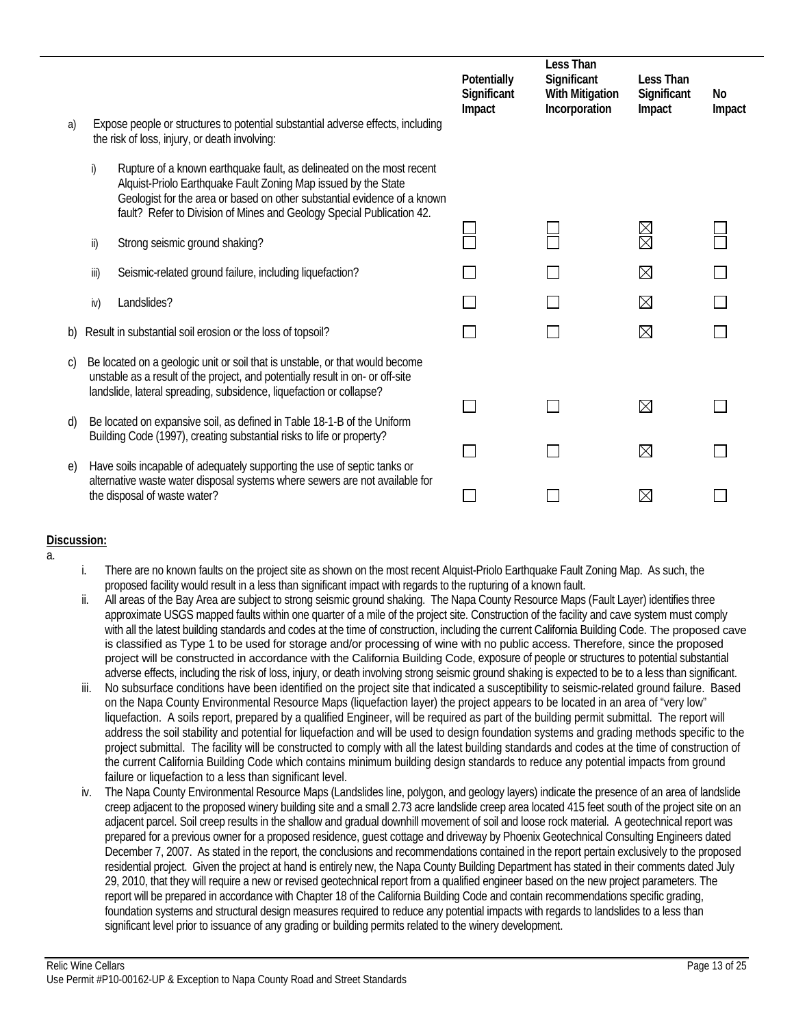|    |      |                                                                                                                                                                                                                                                                                              | Potentially<br>Significant<br>Impact | Less Than<br>Significant<br><b>With Mitigation</b><br>Incorporation | Less Than<br>Significant<br>Impact | No<br>Impact |
|----|------|----------------------------------------------------------------------------------------------------------------------------------------------------------------------------------------------------------------------------------------------------------------------------------------------|--------------------------------------|---------------------------------------------------------------------|------------------------------------|--------------|
| a) |      | Expose people or structures to potential substantial adverse effects, including<br>the risk of loss, injury, or death involving:                                                                                                                                                             |                                      |                                                                     |                                    |              |
|    | i)   | Rupture of a known earthquake fault, as delineated on the most recent<br>Alquist-Priolo Earthquake Fault Zoning Map issued by the State<br>Geologist for the area or based on other substantial evidence of a known<br>fault? Refer to Division of Mines and Geology Special Publication 42. |                                      |                                                                     |                                    |              |
|    | ii)  | Strong seismic ground shaking?                                                                                                                                                                                                                                                               |                                      |                                                                     | X<br>R                             |              |
|    | iii) | Seismic-related ground failure, including liquefaction?                                                                                                                                                                                                                                      |                                      |                                                                     | $\boxtimes$                        |              |
|    | iv)  | Landslides?                                                                                                                                                                                                                                                                                  |                                      |                                                                     | $\boxtimes$                        |              |
| b) |      | Result in substantial soil erosion or the loss of topsoil?                                                                                                                                                                                                                                   |                                      |                                                                     | $\boxtimes$                        |              |
| C) |      | Be located on a geologic unit or soil that is unstable, or that would become<br>unstable as a result of the project, and potentially result in on- or off-site<br>landslide, lateral spreading, subsidence, liquefaction or collapse?                                                        |                                      |                                                                     |                                    |              |
| d) |      | Be located on expansive soil, as defined in Table 18-1-B of the Uniform                                                                                                                                                                                                                      |                                      |                                                                     | ⊠                                  |              |
|    |      | Building Code (1997), creating substantial risks to life or property?                                                                                                                                                                                                                        |                                      |                                                                     | $\boxtimes$                        |              |
| e) |      | Have soils incapable of adequately supporting the use of septic tanks or<br>alternative waste water disposal systems where sewers are not available for                                                                                                                                      |                                      |                                                                     |                                    |              |
|    |      | the disposal of waste water?                                                                                                                                                                                                                                                                 |                                      |                                                                     | $\times$                           |              |

a.

- i. There are no known faults on the project site as shown on the most recent Alquist-Priolo Earthquake Fault Zoning Map. As such, the proposed facility would result in a less than significant impact with regards to the rupturing of a known fault.
- ii. All areas of the Bay Area are subject to strong seismic ground shaking. The Napa County Resource Maps (Fault Layer) identifies three approximate USGS mapped faults within one quarter of a mile of the project site. Construction of the facility and cave system must comply with all the latest building standards and codes at the time of construction, including the current California Building Code. The proposed cave is classified as Type 1 to be used for storage and/or processing of wine with no public access. Therefore, since the proposed project will be constructed in accordance with the California Building Code, exposure of people or structures to potential substantial adverse effects, including the risk of loss, injury, or death involving strong seismic ground shaking is expected to be to a less than significant.
- No subsurface conditions have been identified on the project site that indicated a susceptibility to seismic-related ground failure. Based on the Napa County Environmental Resource Maps (liquefaction layer) the project appears to be located in an area of "very low" liquefaction. A soils report, prepared by a qualified Engineer, will be required as part of the building permit submittal. The report will address the soil stability and potential for liquefaction and will be used to design foundation systems and grading methods specific to the project submittal. The facility will be constructed to comply with all the latest building standards and codes at the time of construction of the current California Building Code which contains minimum building design standards to reduce any potential impacts from ground failure or liquefaction to a less than significant level.
- iv. The Napa County Environmental Resource Maps (Landslides line, polygon, and geology layers) indicate the presence of an area of landslide creep adjacent to the proposed winery building site and a small 2.73 acre landslide creep area located 415 feet south of the project site on an adjacent parcel. Soil creep results in the shallow and gradual downhill movement of soil and loose rock material. A geotechnical report was prepared for a previous owner for a proposed residence, guest cottage and driveway by Phoenix Geotechnical Consulting Engineers dated December 7, 2007. As stated in the report, the conclusions and recommendations contained in the report pertain exclusively to the proposed residential project. Given the project at hand is entirely new, the Napa County Building Department has stated in their comments dated July 29, 2010, that they will require a new or revised geotechnical report from a qualified engineer based on the new project parameters. The report will be prepared in accordance with Chapter 18 of the California Building Code and contain recommendations specific grading, foundation systems and structural design measures required to reduce any potential impacts with regards to landslides to a less than significant level prior to issuance of any grading or building permits related to the winery development.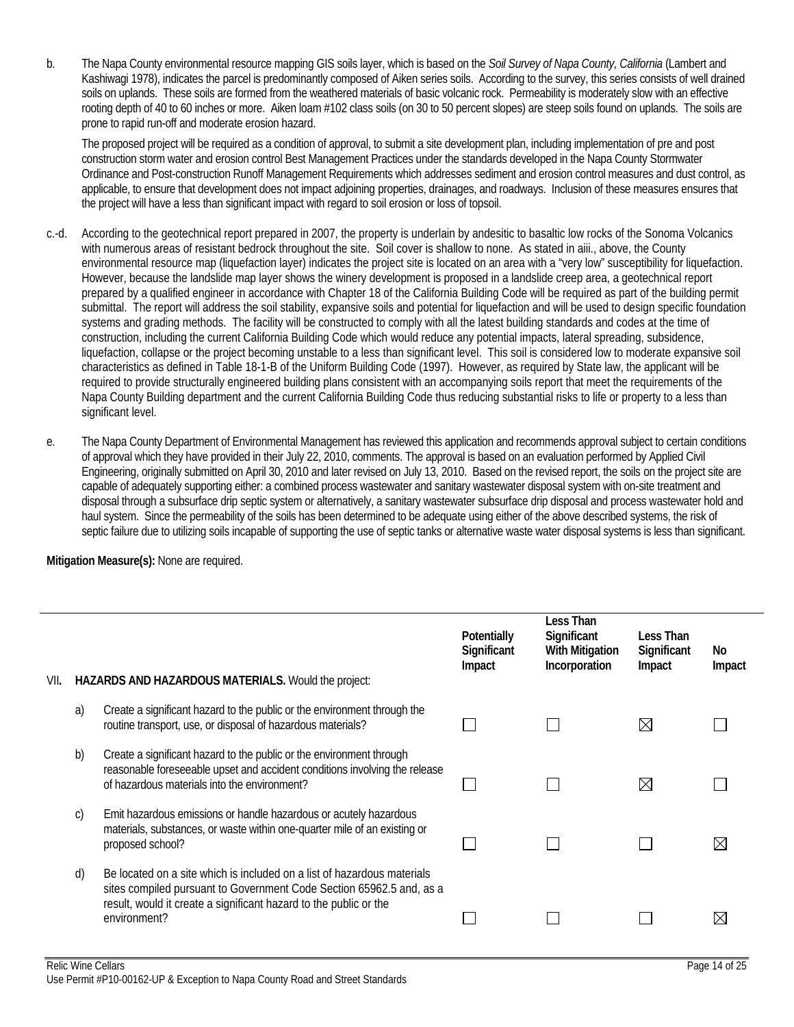b. The Napa County environmental resource mapping GIS soils layer, which is based on the *Soil Survey of Napa County, California* (Lambert and Kashiwagi 1978), indicates the parcel is predominantly composed of Aiken series soils. According to the survey, this series consists of well drained soils on uplands. These soils are formed from the weathered materials of basic volcanic rock. Permeability is moderately slow with an effective rooting depth of 40 to 60 inches or more. Aiken loam #102 class soils (on 30 to 50 percent slopes) are steep soils found on uplands. The soils are prone to rapid run-off and moderate erosion hazard.

 The proposed project will be required as a condition of approval, to submit a site development plan, including implementation of pre and post construction storm water and erosion control Best Management Practices under the standards developed in the Napa County Stormwater Ordinance and Post-construction Runoff Management Requirements which addresses sediment and erosion control measures and dust control, as applicable, to ensure that development does not impact adjoining properties, drainages, and roadways. Inclusion of these measures ensures that the project will have a less than significant impact with regard to soil erosion or loss of topsoil.

- c.-d. According to the geotechnical report prepared in 2007, the property is underlain by andesitic to basaltic low rocks of the Sonoma Volcanics with numerous areas of resistant bedrock throughout the site. Soil cover is shallow to none. As stated in aiii., above, the County environmental resource map (liquefaction layer) indicates the project site is located on an area with a "very low" susceptibility for liquefaction. However, because the landslide map layer shows the winery development is proposed in a landslide creep area, a geotechnical report prepared by a qualified engineer in accordance with Chapter 18 of the California Building Code will be required as part of the building permit submittal. The report will address the soil stability, expansive soils and potential for liquefaction and will be used to design specific foundation systems and grading methods. The facility will be constructed to comply with all the latest building standards and codes at the time of construction, including the current California Building Code which would reduce any potential impacts, lateral spreading, subsidence, liquefaction, collapse or the project becoming unstable to a less than significant level. This soil is considered low to moderate expansive soil characteristics as defined in Table 18-1-B of the Uniform Building Code (1997). However, as required by State law, the applicant will be required to provide structurally engineered building plans consistent with an accompanying soils report that meet the requirements of the Napa County Building department and the current California Building Code thus reducing substantial risks to life or property to a less than significant level.
- e. The Napa County Department of Environmental Management has reviewed this application and recommends approval subject to certain conditions of approval which they have provided in their July 22, 2010, comments. The approval is based on an evaluation performed by Applied Civil Engineering, originally submitted on April 30, 2010 and later revised on July 13, 2010. Based on the revised report, the soils on the project site are capable of adequately supporting either: a combined process wastewater and sanitary wastewater disposal system with on-site treatment and disposal through a subsurface drip septic system or alternatively, a sanitary wastewater subsurface drip disposal and process wastewater hold and haul system. Since the permeability of the soils has been determined to be adequate using either of the above described systems, the risk of septic failure due to utilizing soils incapable of supporting the use of septic tanks or alternative waste water disposal systems is less than significant.

| VII. |              | HAZARDS AND HAZARDOUS MATERIALS. Would the project:                                                                                                                                                                                  | Potentially<br>Significant<br>Impact | Less Than<br>Significant<br><b>With Mitigation</b><br>Incorporation | Less Than<br>Significant<br>Impact | No<br>Impact |
|------|--------------|--------------------------------------------------------------------------------------------------------------------------------------------------------------------------------------------------------------------------------------|--------------------------------------|---------------------------------------------------------------------|------------------------------------|--------------|
|      | a)           | Create a significant hazard to the public or the environment through the<br>routine transport, use, or disposal of hazardous materials?                                                                                              |                                      |                                                                     | $\bowtie$                          |              |
|      | b)           | Create a significant hazard to the public or the environment through<br>reasonable foreseeable upset and accident conditions involving the release<br>of hazardous materials into the environment?                                   |                                      |                                                                     | M                                  |              |
|      | $\mathsf{C}$ | Emit hazardous emissions or handle hazardous or acutely hazardous<br>materials, substances, or waste within one-quarter mile of an existing or<br>proposed school?                                                                   |                                      |                                                                     |                                    | $\bowtie$    |
|      | d)           | Be located on a site which is included on a list of hazardous materials<br>sites compiled pursuant to Government Code Section 65962.5 and, as a<br>result, would it create a significant hazard to the public or the<br>environment? |                                      |                                                                     |                                    |              |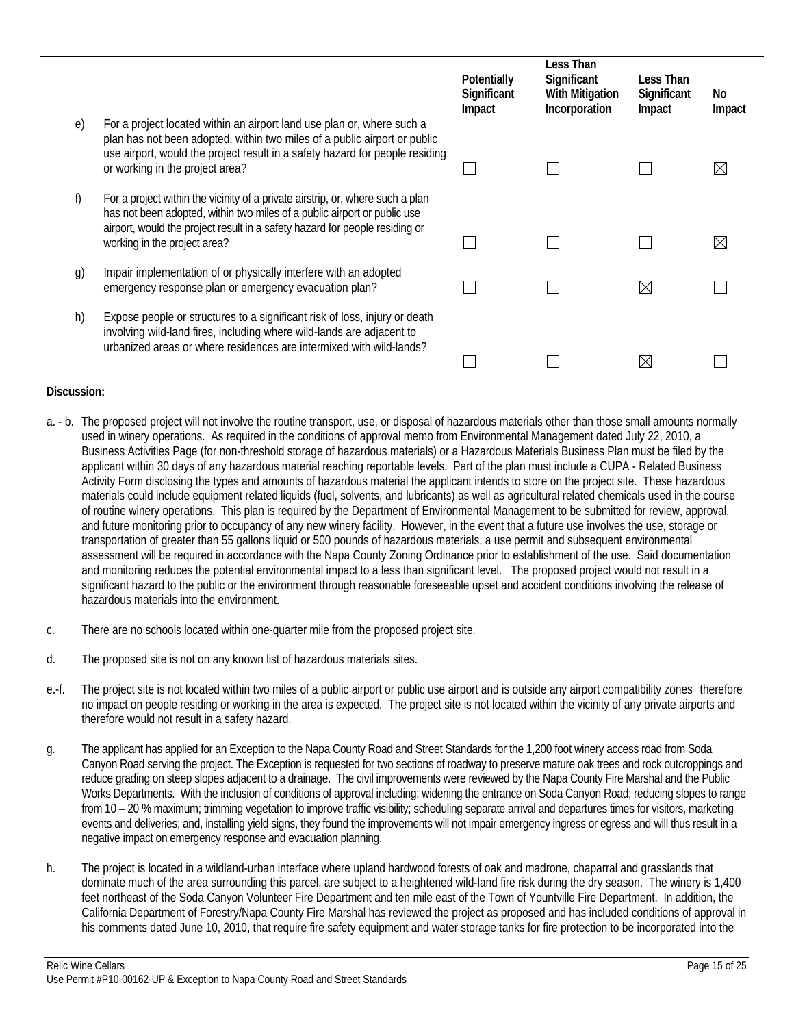|    |                                                                                                                                                                                                                                                                           | Potentially<br>Significant<br>Impact | Less Than<br>Significant<br><b>With Mitigation</b><br>Incorporation | Less Than<br>Significant<br>Impact | No<br>Impact |
|----|---------------------------------------------------------------------------------------------------------------------------------------------------------------------------------------------------------------------------------------------------------------------------|--------------------------------------|---------------------------------------------------------------------|------------------------------------|--------------|
| e) | For a project located within an airport land use plan or, where such a<br>plan has not been adopted, within two miles of a public airport or public<br>use airport, would the project result in a safety hazard for people residing<br>or working in the project area?    |                                      |                                                                     |                                    | ⋉            |
|    | For a project within the vicinity of a private airstrip, or, where such a plan<br>has not been adopted, within two miles of a public airport or public use<br>airport, would the project result in a safety hazard for people residing or<br>working in the project area? |                                      |                                                                     |                                    |              |
| g) | Impair implementation of or physically interfere with an adopted<br>emergency response plan or emergency evacuation plan?                                                                                                                                                 |                                      |                                                                     | X                                  |              |
| h) | Expose people or structures to a significant risk of loss, injury or death<br>involving wild-land fires, including where wild-lands are adjacent to<br>urbanized areas or where residences are intermixed with wild-lands?                                                |                                      |                                                                     |                                    |              |

- a. b. The proposed project will not involve the routine transport, use, or disposal of hazardous materials other than those small amounts normally used in winery operations. As required in the conditions of approval memo from Environmental Management dated July 22, 2010, a Business Activities Page (for non-threshold storage of hazardous materials) or a Hazardous Materials Business Plan must be filed by the applicant within 30 days of any hazardous material reaching reportable levels. Part of the plan must include a CUPA - Related Business Activity Form disclosing the types and amounts of hazardous material the applicant intends to store on the project site. These hazardous materials could include equipment related liquids (fuel, solvents, and lubricants) as well as agricultural related chemicals used in the course of routine winery operations. This plan is required by the Department of Environmental Management to be submitted for review, approval, and future monitoring prior to occupancy of any new winery facility. However, in the event that a future use involves the use, storage or transportation of greater than 55 gallons liquid or 500 pounds of hazardous materials, a use permit and subsequent environmental assessment will be required in accordance with the Napa County Zoning Ordinance prior to establishment of the use. Said documentation and monitoring reduces the potential environmental impact to a less than significant level. The proposed project would not result in a significant hazard to the public or the environment through reasonable foreseeable upset and accident conditions involving the release of hazardous materials into the environment.
- c. There are no schools located within one-quarter mile from the proposed project site.
- d. The proposed site is not on any known list of hazardous materials sites.
- e.-f. The project site is not located within two miles of a public airport or public use airport and is outside any airport compatibility zones therefore no impact on people residing or working in the area is expected. The project site is not located within the vicinity of any private airports and therefore would not result in a safety hazard.
- g. The applicant has applied for an Exception to the Napa County Road and Street Standards for the 1,200 foot winery access road from Soda Canyon Road serving the project. The Exception is requested for two sections of roadway to preserve mature oak trees and rock outcroppings and reduce grading on steep slopes adjacent to a drainage. The civil improvements were reviewed by the Napa County Fire Marshal and the Public Works Departments. With the inclusion of conditions of approval including: widening the entrance on Soda Canyon Road; reducing slopes to range from 10 – 20 % maximum; trimming vegetation to improve traffic visibility; scheduling separate arrival and departures times for visitors, marketing events and deliveries; and, installing yield signs, they found the improvements will not impair emergency ingress or egress and will thus result in a negative impact on emergency response and evacuation planning.
- h. The project is located in a wildland-urban interface where upland hardwood forests of oak and madrone, chaparral and grasslands that dominate much of the area surrounding this parcel, are subject to a heightened wild-land fire risk during the dry season. The winery is 1,400 feet northeast of the Soda Canyon Volunteer Fire Department and ten mile east of the Town of Yountville Fire Department. In addition, the California Department of Forestry/Napa County Fire Marshal has reviewed the project as proposed and has included conditions of approval in his comments dated June 10, 2010, that require fire safety equipment and water storage tanks for fire protection to be incorporated into the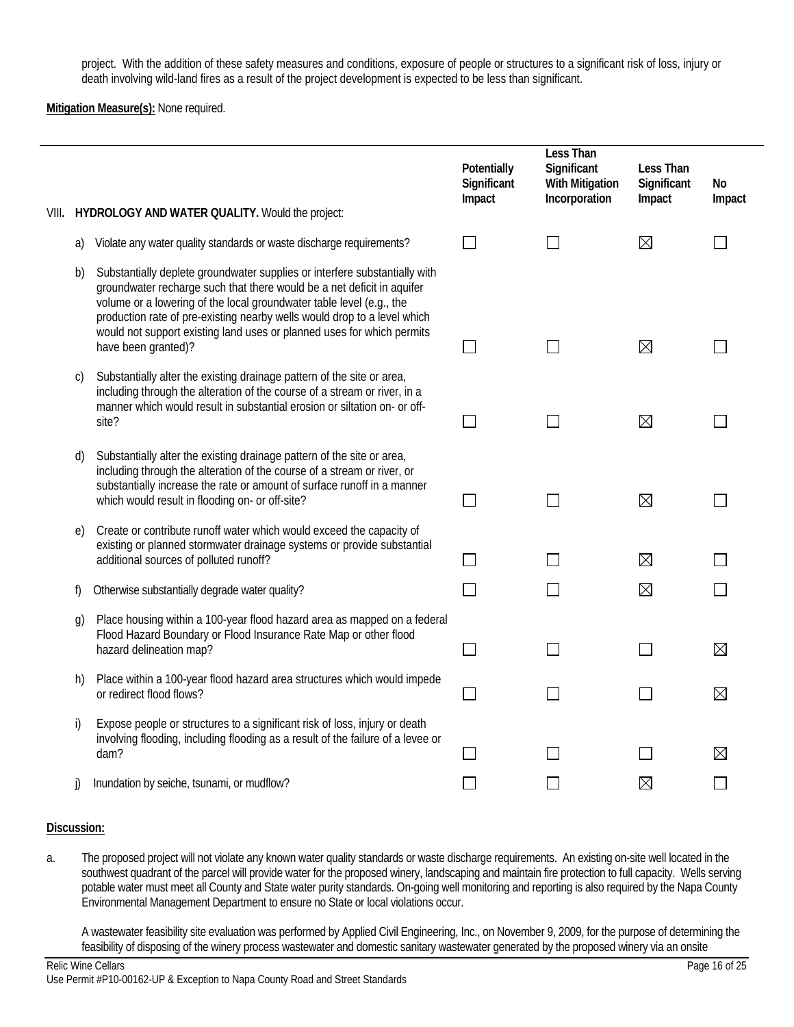project. With the addition of these safety measures and conditions, exposure of people or structures to a significant risk of loss, injury or death involving wild-land fires as a result of the project development is expected to be less than significant.

**Mitigation Measure(s):** None required.

| VIII. |              | HYDROLOGY AND WATER QUALITY. Would the project:                                                                                                                                                                                                                                                                                                                                                           | Potentially<br>Significant<br>Impact | Less Than<br>Significant<br><b>With Mitigation</b><br>Incorporation | Less Than<br>Significant<br>Impact | No<br>Impact |
|-------|--------------|-----------------------------------------------------------------------------------------------------------------------------------------------------------------------------------------------------------------------------------------------------------------------------------------------------------------------------------------------------------------------------------------------------------|--------------------------------------|---------------------------------------------------------------------|------------------------------------|--------------|
|       | a)           | Violate any water quality standards or waste discharge requirements?                                                                                                                                                                                                                                                                                                                                      |                                      |                                                                     | $\boxtimes$                        |              |
|       | b)           | Substantially deplete groundwater supplies or interfere substantially with<br>groundwater recharge such that there would be a net deficit in aquifer<br>volume or a lowering of the local groundwater table level (e.g., the<br>production rate of pre-existing nearby wells would drop to a level which<br>would not support existing land uses or planned uses for which permits<br>have been granted)? |                                      |                                                                     | $\boxtimes$                        |              |
|       | C)           | Substantially alter the existing drainage pattern of the site or area,<br>including through the alteration of the course of a stream or river, in a<br>manner which would result in substantial erosion or siltation on- or off-<br>site?                                                                                                                                                                 |                                      |                                                                     | $\boxtimes$                        |              |
|       | d)           | Substantially alter the existing drainage pattern of the site or area,<br>including through the alteration of the course of a stream or river, or<br>substantially increase the rate or amount of surface runoff in a manner<br>which would result in flooding on- or off-site?                                                                                                                           |                                      |                                                                     | $\boxtimes$                        |              |
|       | e)           | Create or contribute runoff water which would exceed the capacity of<br>existing or planned stormwater drainage systems or provide substantial<br>additional sources of polluted runoff?                                                                                                                                                                                                                  |                                      |                                                                     | $\boxtimes$                        |              |
|       | f)           | Otherwise substantially degrade water quality?                                                                                                                                                                                                                                                                                                                                                            |                                      |                                                                     | $\boxtimes$                        |              |
|       | g)           | Place housing within a 100-year flood hazard area as mapped on a federal<br>Flood Hazard Boundary or Flood Insurance Rate Map or other flood<br>hazard delineation map?                                                                                                                                                                                                                                   |                                      |                                                                     |                                    | $\boxtimes$  |
|       | h)           | Place within a 100-year flood hazard area structures which would impede<br>or redirect flood flows?                                                                                                                                                                                                                                                                                                       | L.                                   |                                                                     |                                    | $\boxtimes$  |
|       | i)           | Expose people or structures to a significant risk of loss, injury or death<br>involving flooding, including flooding as a result of the failure of a levee or<br>dam?                                                                                                                                                                                                                                     |                                      |                                                                     |                                    | $\boxtimes$  |
|       | $\mathbf{I}$ | Inundation by seiche, tsunami, or mudflow?                                                                                                                                                                                                                                                                                                                                                                |                                      |                                                                     | $\boxtimes$                        |              |

### **Discussion:**

a. The proposed project will not violate any known water quality standards or waste discharge requirements. An existing on-site well located in the southwest quadrant of the parcel will provide water for the proposed winery, landscaping and maintain fire protection to full capacity. Wells serving potable water must meet all County and State water purity standards. On-going well monitoring and reporting is also required by the Napa County Environmental Management Department to ensure no State or local violations occur.

 A wastewater feasibility site evaluation was performed by Applied Civil Engineering, Inc., on November 9, 2009, for the purpose of determining the feasibility of disposing of the winery process wastewater and domestic sanitary wastewater generated by the proposed winery via an onsite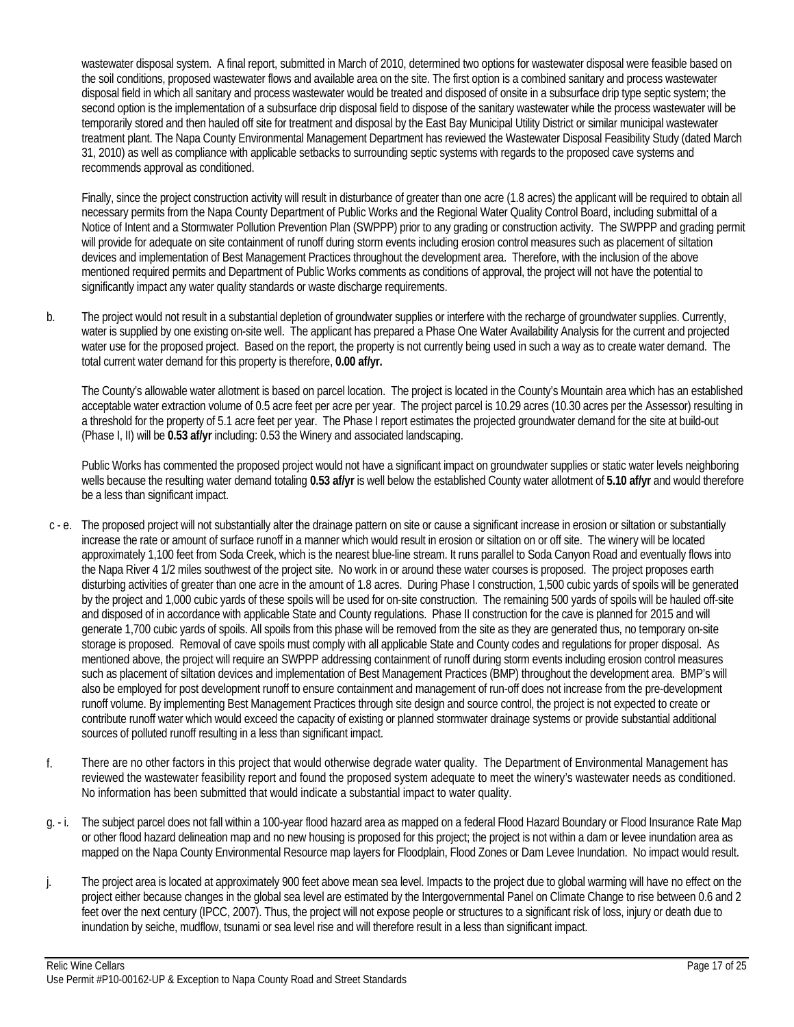wastewater disposal system. A final report, submitted in March of 2010, determined two options for wastewater disposal were feasible based on the soil conditions, proposed wastewater flows and available area on the site. The first option is a combined sanitary and process wastewater disposal field in which all sanitary and process wastewater would be treated and disposed of onsite in a subsurface drip type septic system; the second option is the implementation of a subsurface drip disposal field to dispose of the sanitary wastewater while the process wastewater will be temporarily stored and then hauled off site for treatment and disposal by the East Bay Municipal Utility District or similar municipal wastewater treatment plant. The Napa County Environmental Management Department has reviewed the Wastewater Disposal Feasibility Study (dated March 31, 2010) as well as compliance with applicable setbacks to surrounding septic systems with regards to the proposed cave systems and recommends approval as conditioned.

 Finally, since the project construction activity will result in disturbance of greater than one acre (1.8 acres) the applicant will be required to obtain all necessary permits from the Napa County Department of Public Works and the Regional Water Quality Control Board, including submittal of a Notice of Intent and a Stormwater Pollution Prevention Plan (SWPPP) prior to any grading or construction activity. The SWPPP and grading permit will provide for adequate on site containment of runoff during storm events including erosion control measures such as placement of siltation devices and implementation of Best Management Practices throughout the development area. Therefore, with the inclusion of the above mentioned required permits and Department of Public Works comments as conditions of approval, the project will not have the potential to significantly impact any water quality standards or waste discharge requirements.

b. The project would not result in a substantial depletion of groundwater supplies or interfere with the recharge of groundwater supplies. Currently, water is supplied by one existing on-site well. The applicant has prepared a Phase One Water Availability Analysis for the current and projected water use for the proposed project. Based on the report, the property is not currently being used in such a way as to create water demand. The total current water demand for this property is therefore, **0.00 af/yr.**

 The County's allowable water allotment is based on parcel location. The project is located in the County's Mountain area which has an established acceptable water extraction volume of 0.5 acre feet per acre per year. The project parcel is 10.29 acres (10.30 acres per the Assessor) resulting in a threshold for the property of 5.1 acre feet per year. The Phase I report estimates the projected groundwater demand for the site at build-out (Phase I, II) will be **0.53 af/yr** including: 0.53 the Winery and associated landscaping.

 Public Works has commented the proposed project would not have a significant impact on groundwater supplies or static water levels neighboring wells because the resulting water demand totaling **0.53 af/yr** is well below the established County water allotment of **5.10 af/yr** and would therefore be a less than significant impact.

- c e. The proposed project will not substantially alter the drainage pattern on site or cause a significant increase in erosion or siltation or substantially increase the rate or amount of surface runoff in a manner which would result in erosion or siltation on or off site. The winery will be located approximately 1,100 feet from Soda Creek, which is the nearest blue-line stream. It runs parallel to Soda Canyon Road and eventually flows into the Napa River 4 1/2 miles southwest of the project site. No work in or around these water courses is proposed. The project proposes earth disturbing activities of greater than one acre in the amount of 1.8 acres. During Phase I construction, 1,500 cubic yards of spoils will be generated by the project and 1,000 cubic yards of these spoils will be used for on-site construction. The remaining 500 yards of spoils will be hauled off-site and disposed of in accordance with applicable State and County regulations. Phase II construction for the cave is planned for 2015 and will generate 1,700 cubic yards of spoils. All spoils from this phase will be removed from the site as they are generated thus, no temporary on-site storage is proposed. Removal of cave spoils must comply with all applicable State and County codes and regulations for proper disposal. As mentioned above, the project will require an SWPPP addressing containment of runoff during storm events including erosion control measures such as placement of siltation devices and implementation of Best Management Practices (BMP) throughout the development area. BMP's will also be employed for post development runoff to ensure containment and management of run-off does not increase from the pre-development runoff volume. By implementing Best Management Practices through site design and source control, the project is not expected to create or contribute runoff water which would exceed the capacity of existing or planned stormwater drainage systems or provide substantial additional sources of polluted runoff resulting in a less than significant impact.
- f. There are no other factors in this project that would otherwise degrade water quality. The Department of Environmental Management has reviewed the wastewater feasibility report and found the proposed system adequate to meet the winery's wastewater needs as conditioned. No information has been submitted that would indicate a substantial impact to water quality.
- g. i. The subject parcel does not fall within a 100-year flood hazard area as mapped on a federal Flood Hazard Boundary or Flood Insurance Rate Map or other flood hazard delineation map and no new housing is proposed for this project; the project is not within a dam or levee inundation area as mapped on the Napa County Environmental Resource map layers for Floodplain, Flood Zones or Dam Levee Inundation. No impact would result.
- j. The project area is located at approximately 900 feet above mean sea level. Impacts to the project due to global warming will have no effect on the project either because changes in the global sea level are estimated by the Intergovernmental Panel on Climate Change to rise between 0.6 and 2 feet over the next century (IPCC, 2007). Thus, the project will not expose people or structures to a significant risk of loss, injury or death due to inundation by seiche, mudflow, tsunami or sea level rise and will therefore result in a less than significant impact.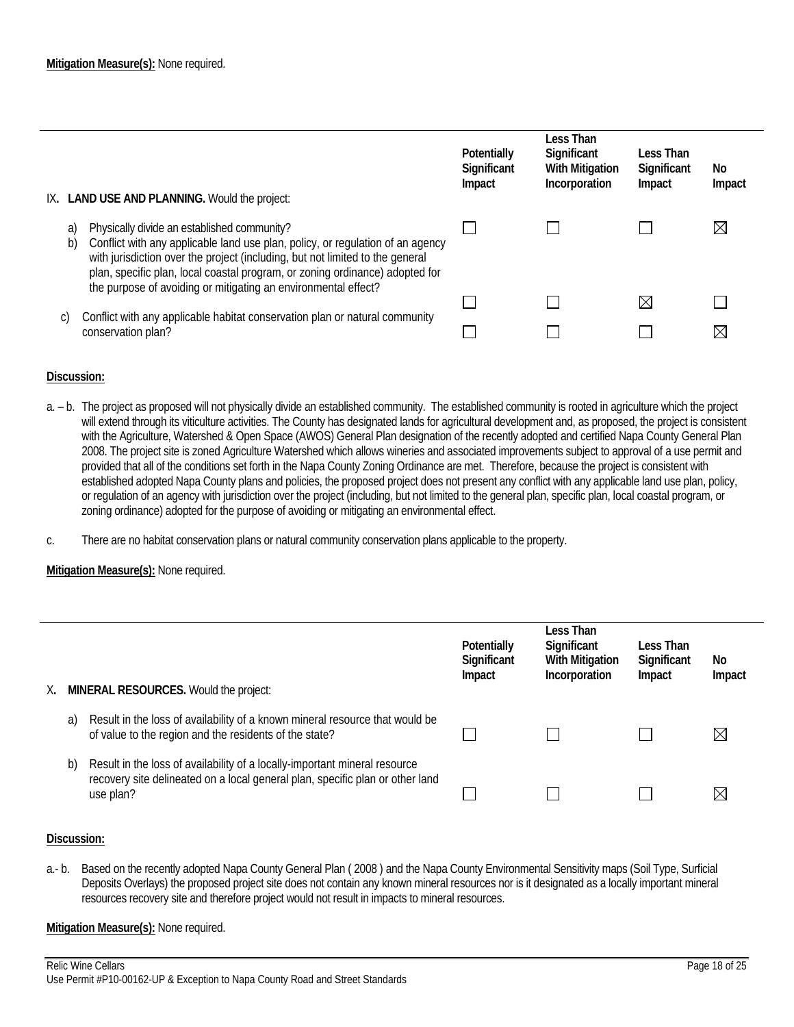| IX.            | <b>LAND USE AND PLANNING. Would the project:</b>                                                                                                                                                                                                                                               | Potentially<br>Significant<br>Impact | Less Than<br>Significant<br><b>With Mitigation</b><br>Incorporation | Less Than<br>Significant<br>Impact | No<br>Impact |
|----------------|------------------------------------------------------------------------------------------------------------------------------------------------------------------------------------------------------------------------------------------------------------------------------------------------|--------------------------------------|---------------------------------------------------------------------|------------------------------------|--------------|
| a)<br>b)<br>C) | Physically divide an established community?<br>Conflict with any applicable land use plan, policy, or regulation of an agency<br>with jurisdiction over the project (including, but not limited to the general<br>plan, specific plan, local coastal program, or zoning ordinance) adopted for |                                      |                                                                     |                                    | $\boxtimes$  |
|                | the purpose of avoiding or mitigating an environmental effect?<br>Conflict with any applicable habitat conservation plan or natural community<br>conservation plan?                                                                                                                            |                                      |                                                                     | $\times$                           | $\boxtimes$  |

- a. b. The project as proposed will not physically divide an established community. The established community is rooted in agriculture which the project will extend through its viticulture activities. The County has designated lands for agricultural development and, as proposed, the project is consistent with the Agriculture, Watershed & Open Space (AWOS) General Plan designation of the recently adopted and certified Napa County General Plan 2008. The project site is zoned Agriculture Watershed which allows wineries and associated improvements subject to approval of a use permit and provided that all of the conditions set forth in the Napa County Zoning Ordinance are met. Therefore, because the project is consistent with established adopted Napa County plans and policies, the proposed project does not present any conflict with any applicable land use plan, policy, or regulation of an agency with jurisdiction over the project (including, but not limited to the general plan, specific plan, local coastal program, or zoning ordinance) adopted for the purpose of avoiding or mitigating an environmental effect.
- c. There are no habitat conservation plans or natural community conservation plans applicable to the property.

### **Mitigation Measure(s):** None required.

| MINERAL RESOURCES. Would the project:<br>Х. |    | Potentially<br>Significant<br>Impact                                                                                                                                     | Less Than<br>Significant<br><b>With Mitigation</b><br>Incorporation | Less Than<br>Significant<br>Impact | No<br>Impact |             |
|---------------------------------------------|----|--------------------------------------------------------------------------------------------------------------------------------------------------------------------------|---------------------------------------------------------------------|------------------------------------|--------------|-------------|
|                                             | a) | Result in the loss of availability of a known mineral resource that would be<br>of value to the region and the residents of the state?                                   |                                                                     |                                    |              | $\boxtimes$ |
|                                             | b) | Result in the loss of availability of a locally-important mineral resource<br>recovery site delineated on a local general plan, specific plan or other land<br>use plan? |                                                                     |                                    |              | $\boxtimes$ |

### **Discussion:**

a.- b. Based on the recently adopted Napa County General Plan ( 2008 ) and the Napa County Environmental Sensitivity maps (Soil Type, Surficial Deposits Overlays) the proposed project site does not contain any known mineral resources nor is it designated as a locally important mineral resources recovery site and therefore project would not result in impacts to mineral resources.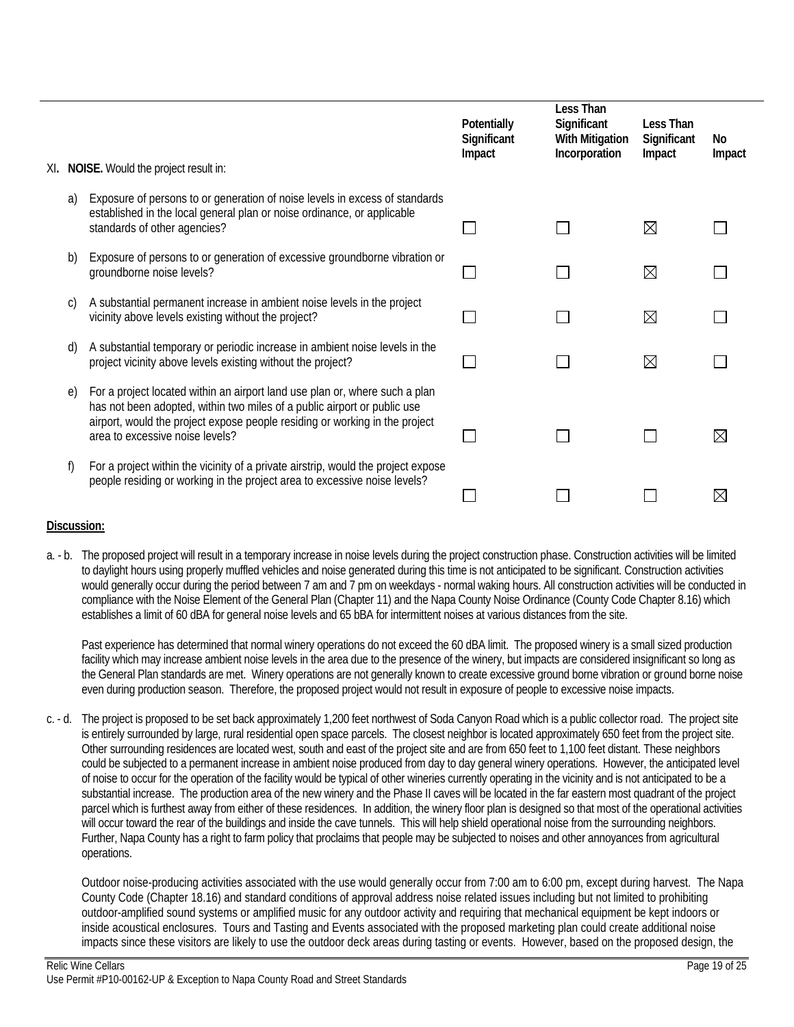| XI. |            | NOISE. Would the project result in:                                                                                                                                                                                                                                       | Potentially<br>Significant<br>Impact | Less Than<br>Significant<br><b>With Mitigation</b><br>Incorporation | Less Than<br>Significant<br>Impact | No<br>Impact |
|-----|------------|---------------------------------------------------------------------------------------------------------------------------------------------------------------------------------------------------------------------------------------------------------------------------|--------------------------------------|---------------------------------------------------------------------|------------------------------------|--------------|
|     |            |                                                                                                                                                                                                                                                                           |                                      |                                                                     |                                    |              |
|     | a)         | Exposure of persons to or generation of noise levels in excess of standards<br>established in the local general plan or noise ordinance, or applicable<br>standards of other agencies?                                                                                    |                                      |                                                                     | $\boxtimes$                        |              |
|     | b)         | Exposure of persons to or generation of excessive groundborne vibration or<br>groundborne noise levels?                                                                                                                                                                   |                                      |                                                                     | $\boxtimes$                        |              |
|     | C)         | A substantial permanent increase in ambient noise levels in the project<br>vicinity above levels existing without the project?                                                                                                                                            |                                      |                                                                     | $\boxtimes$                        |              |
|     | d)         | A substantial temporary or periodic increase in ambient noise levels in the<br>project vicinity above levels existing without the project?                                                                                                                                |                                      |                                                                     | $\boxtimes$                        |              |
|     | e)         | For a project located within an airport land use plan or, where such a plan<br>has not been adopted, within two miles of a public airport or public use<br>airport, would the project expose people residing or working in the project<br>area to excessive noise levels? |                                      |                                                                     |                                    | $\boxtimes$  |
|     | $\uparrow$ | For a project within the vicinity of a private airstrip, would the project expose<br>people residing or working in the project area to excessive noise levels?                                                                                                            |                                      |                                                                     |                                    |              |

a. - b. The proposed project will result in a temporary increase in noise levels during the project construction phase. Construction activities will be limited to daylight hours using properly muffled vehicles and noise generated during this time is not anticipated to be significant. Construction activities would generally occur during the period between 7 am and 7 pm on weekdays - normal waking hours. All construction activities will be conducted in compliance with the Noise Element of the General Plan (Chapter 11) and the Napa County Noise Ordinance (County Code Chapter 8.16) which establishes a limit of 60 dBA for general noise levels and 65 bBA for intermittent noises at various distances from the site.

 Past experience has determined that normal winery operations do not exceed the 60 dBA limit. The proposed winery is a small sized production facility which may increase ambient noise levels in the area due to the presence of the winery, but impacts are considered insignificant so long as the General Plan standards are met. Winery operations are not generally known to create excessive ground borne vibration or ground borne noise even during production season. Therefore, the proposed project would not result in exposure of people to excessive noise impacts.

c. - d. The project is proposed to be set back approximately 1,200 feet northwest of Soda Canyon Road which is a public collector road. The project site is entirely surrounded by large, rural residential open space parcels. The closest neighbor is located approximately 650 feet from the project site. Other surrounding residences are located west, south and east of the project site and are from 650 feet to 1,100 feet distant. These neighbors could be subjected to a permanent increase in ambient noise produced from day to day general winery operations. However, the anticipated level of noise to occur for the operation of the facility would be typical of other wineries currently operating in the vicinity and is not anticipated to be a substantial increase. The production area of the new winery and the Phase II caves will be located in the far eastern most quadrant of the project parcel which is furthest away from either of these residences. In addition, the winery floor plan is designed so that most of the operational activities will occur toward the rear of the buildings and inside the cave tunnels. This will help shield operational noise from the surrounding neighbors. Further, Napa County has a right to farm policy that proclaims that people may be subjected to noises and other annoyances from agricultural operations.

 Outdoor noise-producing activities associated with the use would generally occur from 7:00 am to 6:00 pm, except during harvest. The Napa County Code (Chapter 18.16) and standard conditions of approval address noise related issues including but not limited to prohibiting outdoor-amplified sound systems or amplified music for any outdoor activity and requiring that mechanical equipment be kept indoors or inside acoustical enclosures. Tours and Tasting and Events associated with the proposed marketing plan could create additional noise impacts since these visitors are likely to use the outdoor deck areas during tasting or events. However, based on the proposed design, the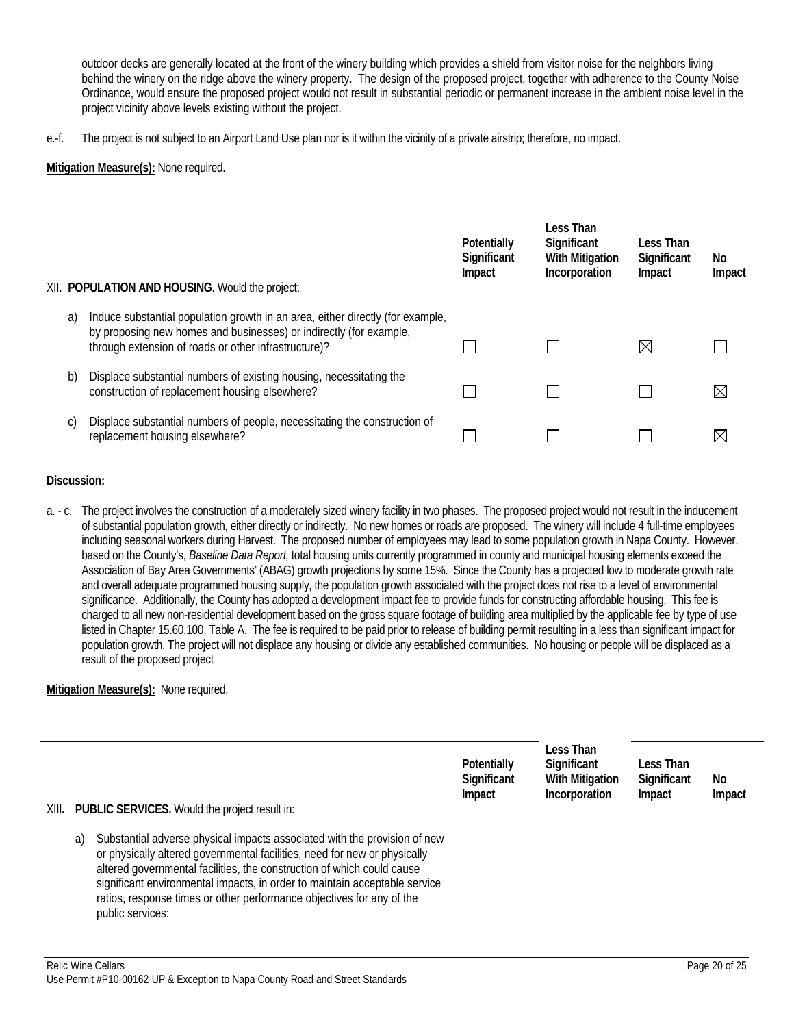outdoor decks are generally located at the front of the winery building which provides a shield from visitor noise for the neighbors living behind the winery on the ridge above the winery property. The design of the proposed project, together with adherence to the County Noise Ordinance, would ensure the proposed project would not result in substantial periodic or permanent increase in the ambient noise level in the project vicinity above levels existing without the project.

e.-f. The project is not subject to an Airport Land Use plan nor is it within the vicinity of a private airstrip; therefore, no impact.

### **Mitigation Measure(s):** None required.

| XII. POPULATION AND HOUSING. Would the project: |                                                                                                                                                                                                              | <b>Potentially</b><br>Significant<br>Impact | Less Than<br>Significant<br><b>With Mitigation</b><br>Incorporation | Less Than<br>Significant<br>Impact | No.<br>Impact |
|-------------------------------------------------|--------------------------------------------------------------------------------------------------------------------------------------------------------------------------------------------------------------|---------------------------------------------|---------------------------------------------------------------------|------------------------------------|---------------|
| a)                                              | Induce substantial population growth in an area, either directly (for example,<br>by proposing new homes and businesses) or indirectly (for example,<br>through extension of roads or other infrastructure)? |                                             |                                                                     | ⋉                                  |               |
| b)                                              | Displace substantial numbers of existing housing, necessitating the<br>construction of replacement housing elsewhere?                                                                                        |                                             |                                                                     |                                    |               |
| C)                                              | Displace substantial numbers of people, necessitating the construction of<br>replacement housing elsewhere?                                                                                                  |                                             |                                                                     |                                    |               |

### **Discussion:**

a. - c. The project involves the construction of a moderately sized winery facility in two phases. The proposed project would not result in the inducement of substantial population growth, either directly or indirectly. No new homes or roads are proposed. The winery will include 4 full-time employees including seasonal workers during Harvest. The proposed number of employees may lead to some population growth in Napa County. However, based on the County's, *Baseline Data Report,* total housing units currently programmed in county and municipal housing elements exceed the Association of Bay Area Governments' (ABAG) growth projections by some 15%. Since the County has a projected low to moderate growth rate and overall adequate programmed housing supply, the population growth associated with the project does not rise to a level of environmental significance. Additionally, the County has adopted a development impact fee to provide funds for constructing affordable housing. This fee is charged to all new non-residential development based on the gross square footage of building area multiplied by the applicable fee by type of use listed in Chapter 15.60.100, Table A. The fee is required to be paid prior to release of building permit resulting in a less than significant impact for population growth. The project will not displace any housing or divide any established communities. No housing or people will be displaced as a result of the proposed project

| XIII. |    | <b>PUBLIC SERVICES.</b> Would the project result in:                                                                                                                                                                                                                                                                                                                                                        | Potentially<br>Significant<br>Impact | Less Than<br>Significant<br><b>With Mitigation</b><br>Incorporation | Less Than<br>Significant<br>Impact | No<br>Impact |
|-------|----|-------------------------------------------------------------------------------------------------------------------------------------------------------------------------------------------------------------------------------------------------------------------------------------------------------------------------------------------------------------------------------------------------------------|--------------------------------------|---------------------------------------------------------------------|------------------------------------|--------------|
|       | a) | Substantial adverse physical impacts associated with the provision of new<br>or physically altered governmental facilities, need for new or physically<br>altered governmental facilities, the construction of which could cause<br>significant environmental impacts, in order to maintain acceptable service<br>ratios, response times or other performance objectives for any of the<br>public services: |                                      |                                                                     |                                    |              |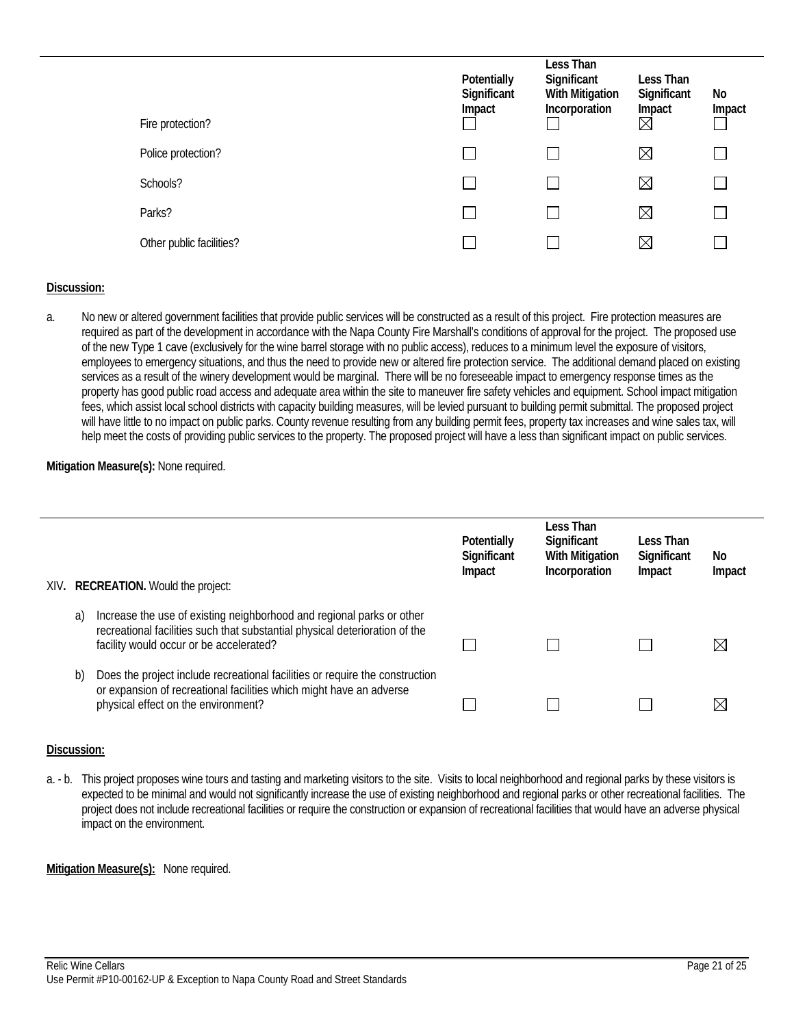| Fire protection?         | Potentially<br>Significant<br>Impact | Less Than<br>Significant<br><b>With Mitigation</b><br>Incorporation | Less Than<br>Significant<br>Impact<br>$\boxtimes$ | No<br>Impact |
|--------------------------|--------------------------------------|---------------------------------------------------------------------|---------------------------------------------------|--------------|
| Police protection?       |                                      |                                                                     | $\boxtimes$                                       |              |
| Schools?                 |                                      |                                                                     | $\boxtimes$                                       |              |
| Parks?                   |                                      |                                                                     | $\boxtimes$                                       |              |
| Other public facilities? |                                      |                                                                     | $\boxtimes$                                       |              |

a. No new or altered government facilities that provide public services will be constructed as a result of this project. Fire protection measures are required as part of the development in accordance with the Napa County Fire Marshall's conditions of approval for the project. The proposed use of the new Type 1 cave (exclusively for the wine barrel storage with no public access), reduces to a minimum level the exposure of visitors, employees to emergency situations, and thus the need to provide new or altered fire protection service. The additional demand placed on existing services as a result of the winery development would be marginal. There will be no foreseeable impact to emergency response times as the property has good public road access and adequate area within the site to maneuver fire safety vehicles and equipment. School impact mitigation fees, which assist local school districts with capacity building measures, will be levied pursuant to building permit submittal. The proposed project will have little to no impact on public parks. County revenue resulting from any building permit fees, property tax increases and wine sales tax, will help meet the costs of providing public services to the property. The proposed project will have a less than significant impact on public services.

### **Mitigation Measure(s):** None required.

|    | XIV. RECREATION. Would the project:                                                                                                                                                             | Potentially<br>Significant<br>Impact | Less Than<br>Significant<br><b>With Mitigation</b><br>Incorporation | Less Than<br>Significant<br>Impact | No<br>Impact |
|----|-------------------------------------------------------------------------------------------------------------------------------------------------------------------------------------------------|--------------------------------------|---------------------------------------------------------------------|------------------------------------|--------------|
| a) | Increase the use of existing neighborhood and regional parks or other<br>recreational facilities such that substantial physical deterioration of the<br>facility would occur or be accelerated? |                                      |                                                                     |                                    | $\boxtimes$  |
| b) | Does the project include recreational facilities or require the construction<br>or expansion of recreational facilities which might have an adverse<br>physical effect on the environment?      |                                      |                                                                     |                                    | ⋉            |

### **Discussion:**

a. - b. This project proposes wine tours and tasting and marketing visitors to the site. Visits to local neighborhood and regional parks by these visitors is expected to be minimal and would not significantly increase the use of existing neighborhood and regional parks or other recreational facilities. The project does not include recreational facilities or require the construction or expansion of recreational facilities that would have an adverse physical impact on the environment.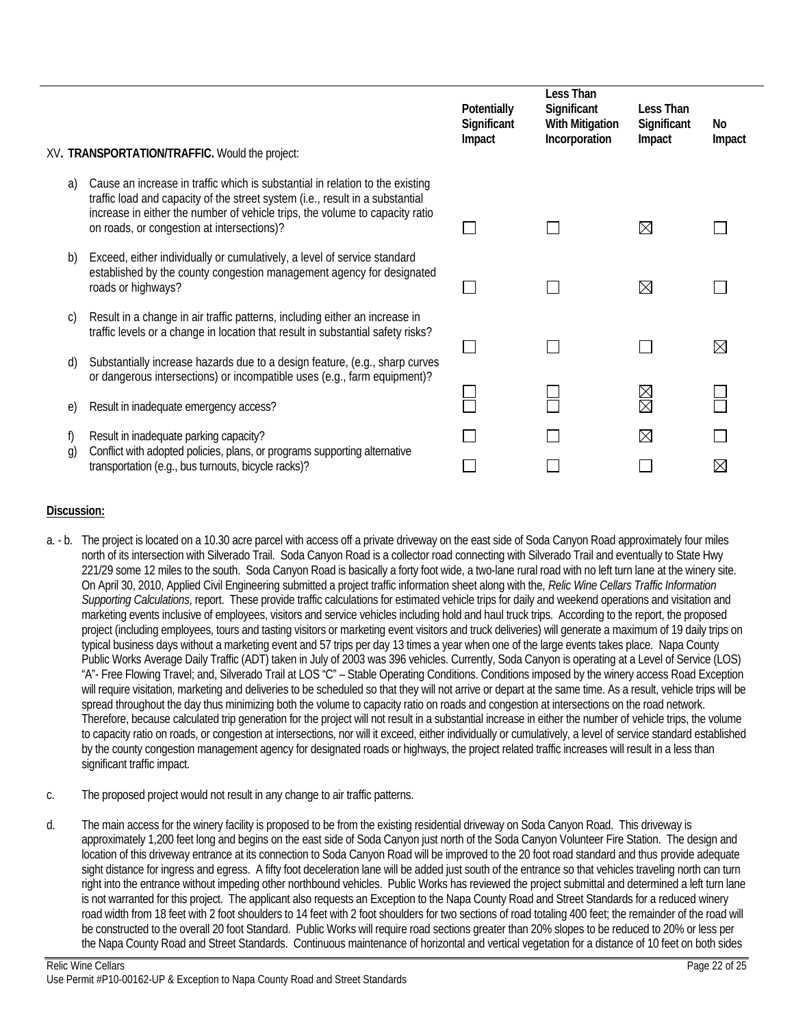|          | XV. TRANSPORTATION/TRAFFIC. Would the project:                                                                                                                                                                                                                                               | Potentially<br>Significant<br>Impact | Less Than<br>Significant<br><b>With Mitigation</b><br>Incorporation | Less Than<br>Significant<br>Impact | No<br>Impact |
|----------|----------------------------------------------------------------------------------------------------------------------------------------------------------------------------------------------------------------------------------------------------------------------------------------------|--------------------------------------|---------------------------------------------------------------------|------------------------------------|--------------|
| a)       | Cause an increase in traffic which is substantial in relation to the existing<br>traffic load and capacity of the street system (i.e., result in a substantial<br>increase in either the number of vehicle trips, the volume to capacity ratio<br>on roads, or congestion at intersections)? |                                      |                                                                     | $\boxtimes$                        |              |
| b)       | Exceed, either individually or cumulatively, a level of service standard<br>established by the county congestion management agency for designated<br>roads or highways?                                                                                                                      |                                      |                                                                     | $\boxtimes$                        |              |
| C)<br>d) | Result in a change in air traffic patterns, including either an increase in<br>traffic levels or a change in location that result in substantial safety risks?<br>Substantially increase hazards due to a design feature, (e.g., sharp curves                                                |                                      |                                                                     |                                    | ⋉            |
| e)       | or dangerous intersections) or incompatible uses (e.g., farm equipment)?<br>Result in inadequate emergency access?                                                                                                                                                                           |                                      |                                                                     | 8<br>N                             |              |
| t)<br>g) | Result in inadequate parking capacity?<br>Conflict with adopted policies, plans, or programs supporting alternative<br>transportation (e.g., bus turnouts, bicycle racks)?                                                                                                                   |                                      |                                                                     | $\boxtimes$                        |              |

- a. b. The project is located on a 10.30 acre parcel with access off a private driveway on the east side of Soda Canyon Road approximately four miles north of its intersection with Silverado Trail. Soda Canyon Road is a collector road connecting with Silverado Trail and eventually to State Hwy 221/29 some 12 miles to the south. Soda Canyon Road is basically a forty foot wide, a two-lane rural road with no left turn lane at the winery site. On April 30, 2010, Applied Civil Engineering submitted a project traffic information sheet along with the, *Relic Wine Cellars Traffic Information Supporting Calculations*, report. These provide traffic calculations for estimated vehicle trips for daily and weekend operations and visitation and marketing events inclusive of employees, visitors and service vehicles including hold and haul truck trips. According to the report, the proposed project (including employees, tours and tasting visitors or marketing event visitors and truck deliveries) will generate a maximum of 19 daily trips on typical business days without a marketing event and 57 trips per day 13 times a year when one of the large events takes place. Napa County Public Works Average Daily Traffic (ADT) taken in July of 2003 was 396 vehicles. Currently, Soda Canyon is operating at a Level of Service (LOS) "A"- Free Flowing Travel; and, Silverado Trail at LOS "C" – Stable Operating Conditions. Conditions imposed by the winery access Road Exception will require visitation, marketing and deliveries to be scheduled so that they will not arrive or depart at the same time. As a result, vehicle trips will be spread throughout the day thus minimizing both the volume to capacity ratio on roads and congestion at intersections on the road network. Therefore, because calculated trip generation for the project will not result in a substantial increase in either the number of vehicle trips, the volume to capacity ratio on roads, or congestion at intersections, nor will it exceed, either individually or cumulatively, a level of service standard established by the county congestion management agency for designated roads or highways, the project related traffic increases will result in a less than significant traffic impact.
- c. The proposed project would not result in any change to air traffic patterns.
- d. The main access for the winery facility is proposed to be from the existing residential driveway on Soda Canyon Road. This driveway is approximately 1,200 feet long and begins on the east side of Soda Canyon just north of the Soda Canyon Volunteer Fire Station. The design and location of this driveway entrance at its connection to Soda Canyon Road will be improved to the 20 foot road standard and thus provide adequate sight distance for ingress and egress. A fifty foot deceleration lane will be added just south of the entrance so that vehicles traveling north can turn right into the entrance without impeding other northbound vehicles. Public Works has reviewed the project submittal and determined a left turn lane is not warranted for this project. The applicant also requests an Exception to the Napa County Road and Street Standards for a reduced winery road width from 18 feet with 2 foot shoulders to 14 feet with 2 foot shoulders for two sections of road totaling 400 feet; the remainder of the road will be constructed to the overall 20 foot Standard. Public Works will require road sections greater than 20% slopes to be reduced to 20% or less per the Napa County Road and Street Standards. Continuous maintenance of horizontal and vertical vegetation for a distance of 10 feet on both sides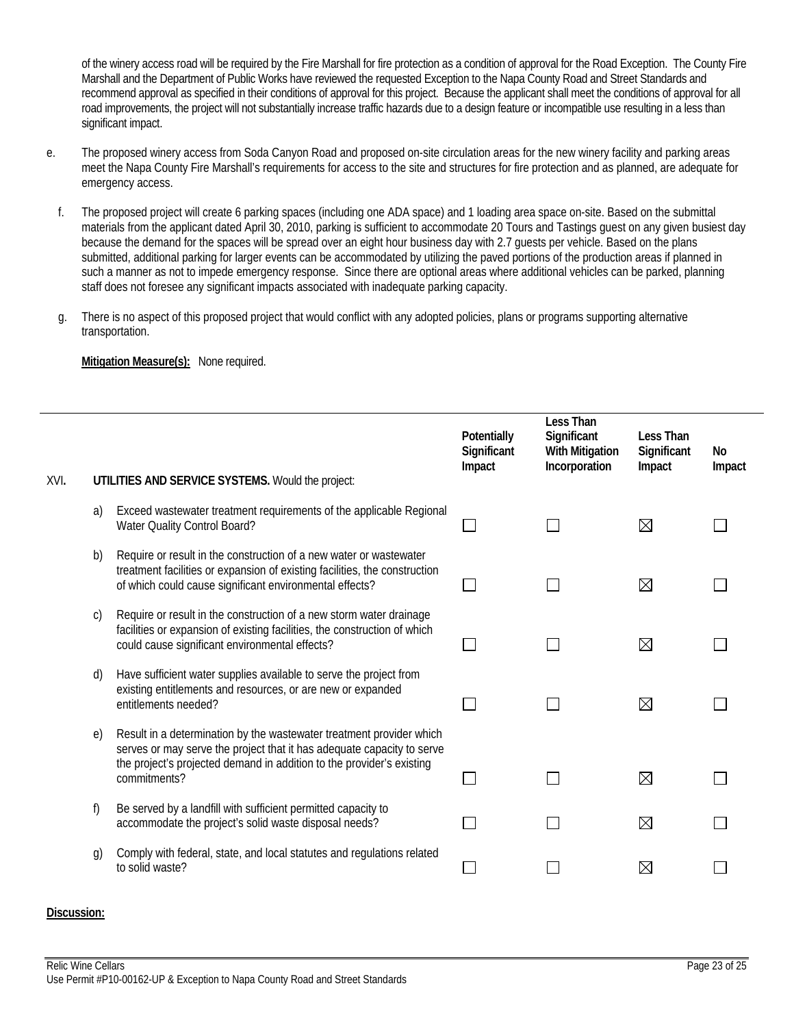of the winery access road will be required by the Fire Marshall for fire protection as a condition of approval for the Road Exception. The County Fire Marshall and the Department of Public Works have reviewed the requested Exception to the Napa County Road and Street Standards and recommend approval as specified in their conditions of approval for this project. Because the applicant shall meet the conditions of approval for all road improvements, the project will not substantially increase traffic hazards due to a design feature or incompatible use resulting in a less than significant impact.

- e. The proposed winery access from Soda Canyon Road and proposed on-site circulation areas for the new winery facility and parking areas meet the Napa County Fire Marshall's requirements for access to the site and structures for fire protection and as planned, are adequate for emergency access.
	- f. The proposed project will create 6 parking spaces (including one ADA space) and 1 loading area space on-site. Based on the submittal materials from the applicant dated April 30, 2010, parking is sufficient to accommodate 20 Tours and Tastings guest on any given busiest day because the demand for the spaces will be spread over an eight hour business day with 2.7 guests per vehicle. Based on the plans submitted, additional parking for larger events can be accommodated by utilizing the paved portions of the production areas if planned in such a manner as not to impede emergency response. Since there are optional areas where additional vehicles can be parked, planning staff does not foresee any significant impacts associated with inadequate parking capacity.
	- g. There is no aspect of this proposed project that would conflict with any adopted policies, plans or programs supporting alternative transportation.

**Mitigation Measure(s):** None required.

| XVI. |            | UTILITIES AND SERVICE SYSTEMS. Would the project:                                                                                                                                                                                       | Potentially<br>Significant<br>Impact | <b>Less Than</b><br>Significant<br><b>With Mitigation</b><br>Incorporation | Less Than<br>Significant<br>Impact | No<br>Impact |
|------|------------|-----------------------------------------------------------------------------------------------------------------------------------------------------------------------------------------------------------------------------------------|--------------------------------------|----------------------------------------------------------------------------|------------------------------------|--------------|
|      | a)         | Exceed wastewater treatment requirements of the applicable Regional<br>Water Quality Control Board?                                                                                                                                     |                                      |                                                                            | $\bowtie$                          |              |
|      | b)         | Require or result in the construction of a new water or wastewater<br>treatment facilities or expansion of existing facilities, the construction<br>of which could cause significant environmental effects?                             |                                      |                                                                            | ⊠                                  |              |
|      | C)         | Require or result in the construction of a new storm water drainage<br>facilities or expansion of existing facilities, the construction of which<br>could cause significant environmental effects?                                      |                                      |                                                                            | $\boxtimes$                        |              |
|      | d)         | Have sufficient water supplies available to serve the project from<br>existing entitlements and resources, or are new or expanded<br>entitlements needed?                                                                               |                                      |                                                                            | ⊠                                  |              |
|      | $\epsilon$ | Result in a determination by the wastewater treatment provider which<br>serves or may serve the project that it has adequate capacity to serve<br>the project's projected demand in addition to the provider's existing<br>commitments? |                                      |                                                                            | $\boxtimes$                        |              |
|      | f)         | Be served by a landfill with sufficient permitted capacity to<br>accommodate the project's solid waste disposal needs?                                                                                                                  |                                      |                                                                            | ⊠                                  |              |
|      | g)         | Comply with federal, state, and local statutes and regulations related<br>to solid waste?                                                                                                                                               |                                      |                                                                            | ⊠                                  |              |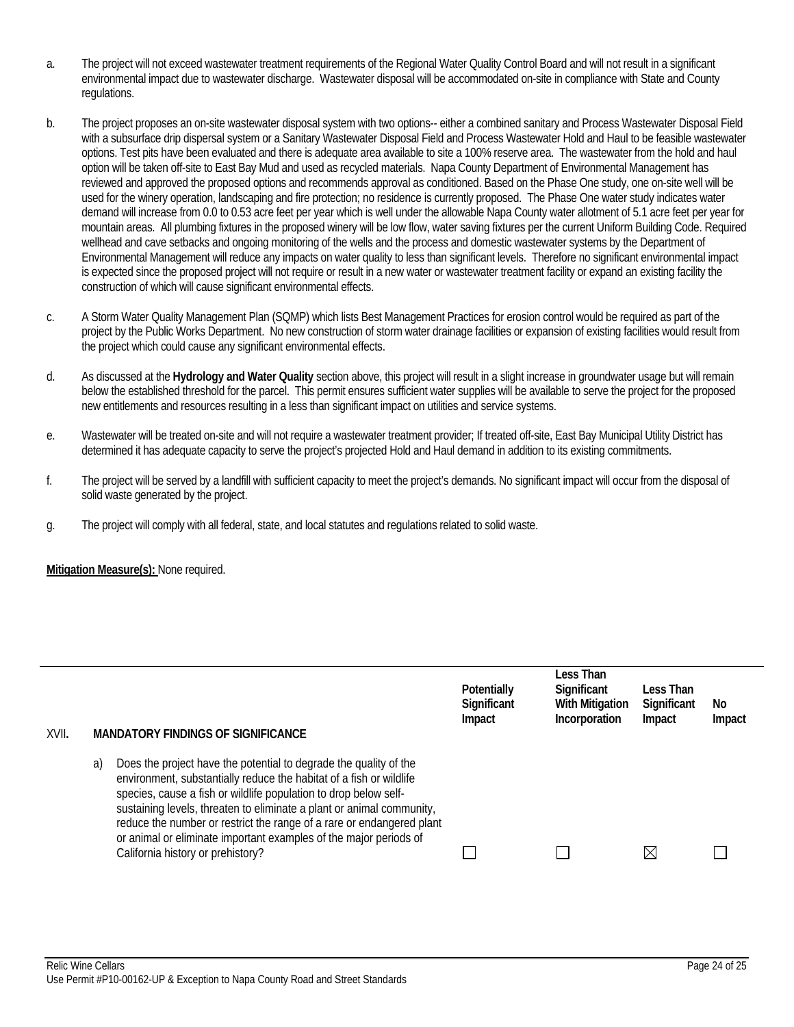- a. The project will not exceed wastewater treatment requirements of the Regional Water Quality Control Board and will not result in a significant environmental impact due to wastewater discharge. Wastewater disposal will be accommodated on-site in compliance with State and County regulations.
- b. The project proposes an on-site wastewater disposal system with two options-- either a combined sanitary and Process Wastewater Disposal Field with a subsurface drip dispersal system or a Sanitary Wastewater Disposal Field and Process Wastewater Hold and Haul to be feasible wastewater options. Test pits have been evaluated and there is adequate area available to site a 100% reserve area. The wastewater from the hold and haul option will be taken off-site to East Bay Mud and used as recycled materials. Napa County Department of Environmental Management has reviewed and approved the proposed options and recommends approval as conditioned. Based on the Phase One study, one on-site well will be used for the winery operation, landscaping and fire protection; no residence is currently proposed. The Phase One water study indicates water demand will increase from 0.0 to 0.53 acre feet per year which is well under the allowable Napa County water allotment of 5.1 acre feet per year for mountain areas. All plumbing fixtures in the proposed winery will be low flow, water saving fixtures per the current Uniform Building Code. Required wellhead and cave setbacks and ongoing monitoring of the wells and the process and domestic wastewater systems by the Department of Environmental Management will reduce any impacts on water quality to less than significant levels. Therefore no significant environmental impact is expected since the proposed project will not require or result in a new water or wastewater treatment facility or expand an existing facility the construction of which will cause significant environmental effects.
- c. A Storm Water Quality Management Plan (SQMP) which lists Best Management Practices for erosion control would be required as part of the project by the Public Works Department. No new construction of storm water drainage facilities or expansion of existing facilities would result from the project which could cause any significant environmental effects.
- d. As discussed at the **Hydrology and Water Quality** section above, this project will result in a slight increase in groundwater usage but will remain below the established threshold for the parcel. This permit ensures sufficient water supplies will be available to serve the project for the proposed new entitlements and resources resulting in a less than significant impact on utilities and service systems.
- e. Wastewater will be treated on-site and will not require a wastewater treatment provider; If treated off-site, East Bay Municipal Utility District has determined it has adequate capacity to serve the project's projected Hold and Haul demand in addition to its existing commitments.
- f. The project will be served by a landfill with sufficient capacity to meet the project's demands. No significant impact will occur from the disposal of solid waste generated by the project.
- g. The project will comply with all federal, state, and local statutes and regulations related to solid waste.

| XVII. |    | <b>MANDATORY FINDINGS OF SIGNIFICANCE</b>                                                                                                                                                                                                                                                                                                                                                                                                                                | Potentially<br>Significant<br>Impact | Less Than<br>Significant<br><b>With Mitigation</b><br>Incorporation | Less Than<br>Significant<br>Impact | No<br>Impact |
|-------|----|--------------------------------------------------------------------------------------------------------------------------------------------------------------------------------------------------------------------------------------------------------------------------------------------------------------------------------------------------------------------------------------------------------------------------------------------------------------------------|--------------------------------------|---------------------------------------------------------------------|------------------------------------|--------------|
|       | a) | Does the project have the potential to degrade the quality of the<br>environment, substantially reduce the habitat of a fish or wildlife<br>species, cause a fish or wildlife population to drop below self-<br>sustaining levels, threaten to eliminate a plant or animal community,<br>reduce the number or restrict the range of a rare or endangered plant<br>or animal or eliminate important examples of the major periods of<br>California history or prehistory? |                                      |                                                                     | IX                                 |              |